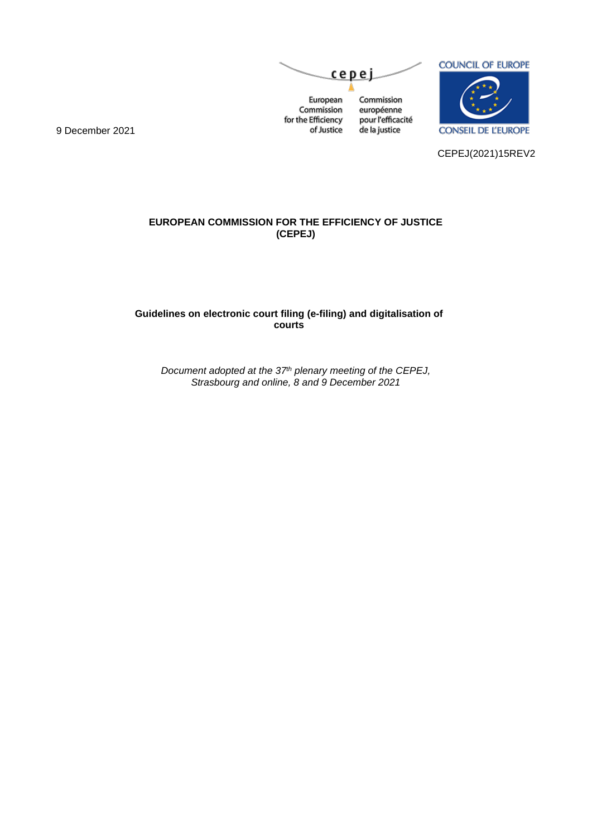



**CONSEIL DE L'EUROPE** 

CEPEJ(2021)15REV2

9 December 2021

**EUROPEAN COMMISSION FOR THE EFFICIENCY OF JUSTICE (CEPEJ)**

**Guidelines on electronic court filing (e-filing) and digitalisation of courts**

> *Document adopted at the 37th plenary meeting of the CEPEJ, Strasbourg and online, 8 and 9 December 2021*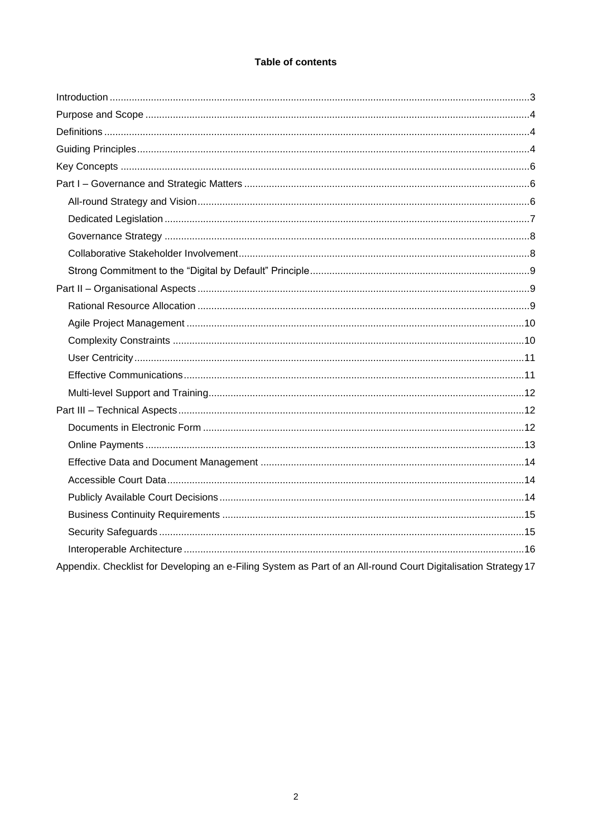# **Table of contents**

| Appendix. Checklist for Developing an e-Filing System as Part of an All-round Court Digitalisation Strategy 17 |
|----------------------------------------------------------------------------------------------------------------|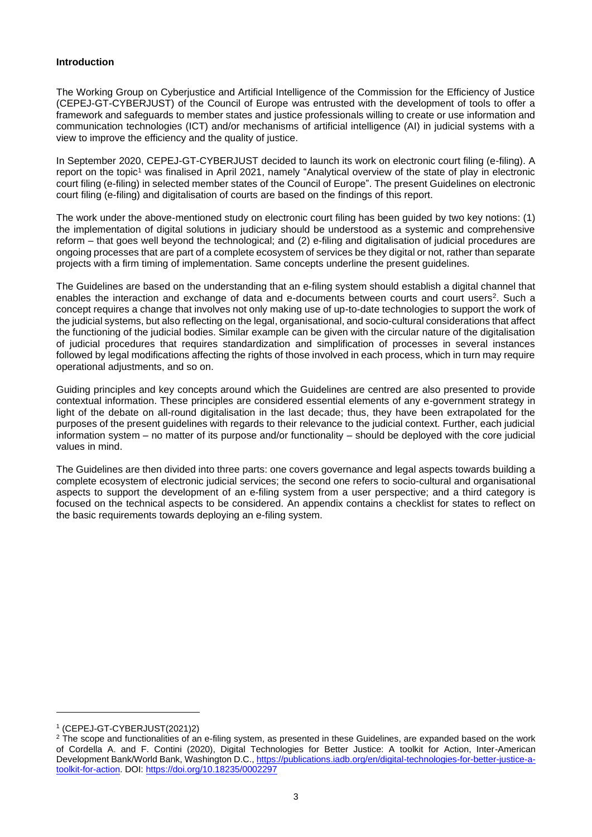#### <span id="page-2-0"></span>**Introduction**

The Working Group on Cyberjustice and Artificial Intelligence of the Commission for the Efficiency of Justice (CEPEJ-GT-CYBERJUST) of the Council of Europe was entrusted with the development of tools to offer a framework and safeguards to member states and justice professionals willing to create or use information and communication technologies (ICT) and/or mechanisms of artificial intelligence (AI) in judicial systems with a view to improve the efficiency and the quality of justice.

In September 2020, CEPEJ-GT-CYBERJUST decided to launch its work on electronic court filing (e-filing). A report on the topic<sup>1</sup> was finalised in April 2021, namely "Analytical overview of the state of play in electronic court filing (e-filing) in selected member states of the Council of Europe". The present Guidelines on electronic court filing (e-filing) and digitalisation of courts are based on the findings of this report.

The work under the above-mentioned study on electronic court filing has been guided by two key notions: (1) the implementation of digital solutions in judiciary should be understood as a systemic and comprehensive reform – that goes well beyond the technological; and (2) e-filing and digitalisation of judicial procedures are ongoing processes that are part of a complete ecosystem of services be they digital or not, rather than separate projects with a firm timing of implementation. Same concepts underline the present guidelines.

The Guidelines are based on the understanding that an e-filing system should establish a digital channel that enables the interaction and exchange of data and e-documents between courts and court users<sup>2</sup>. Such a concept requires a change that involves not only making use of up-to-date technologies to support the work of the judicial systems, but also reflecting on the legal, organisational, and socio-cultural considerations that affect the functioning of the judicial bodies. Similar example can be given with the circular nature of the digitalisation of judicial procedures that requires standardization and simplification of processes in several instances followed by legal modifications affecting the rights of those involved in each process, which in turn may require operational adjustments, and so on.

Guiding principles and key concepts around which the Guidelines are centred are also presented to provide contextual information. These principles are considered essential elements of any e-government strategy in light of the debate on all-round digitalisation in the last decade; thus, they have been extrapolated for the purposes of the present guidelines with regards to their relevance to the judicial context. Further, each judicial information system – no matter of its purpose and/or functionality – should be deployed with the core judicial values in mind.

The Guidelines are then divided into three parts: one covers governance and legal aspects towards building a complete ecosystem of electronic judicial services; the second one refers to socio-cultural and organisational aspects to support the development of an e-filing system from a user perspective; and a third category is focused on the technical aspects to be considered. An appendix contains a checklist for states to reflect on the basic requirements towards deploying an e-filing system.

<sup>1</sup> (CEPEJ-GT-CYBERJUST(2021)2)

<sup>&</sup>lt;sup>2</sup> The scope and functionalities of an e-filing system, as presented in these Guidelines, are expanded based on the work of Cordella A. and F. Contini (2020), Digital Technologies for Better Justice: A toolkit for Action, Inter-American Development Bank/World Bank, Washington D.C., [https://publications.iadb.org/en/digital-technologies-for-better-justice-a](https://publications.iadb.org/en/digital-technologies-for-better-justice-a-toolkit-for-action)[toolkit-for-action.](https://publications.iadb.org/en/digital-technologies-for-better-justice-a-toolkit-for-action) DOI[: https://doi.org/10.18235/0002297](https://doi.org/10.18235/0002297)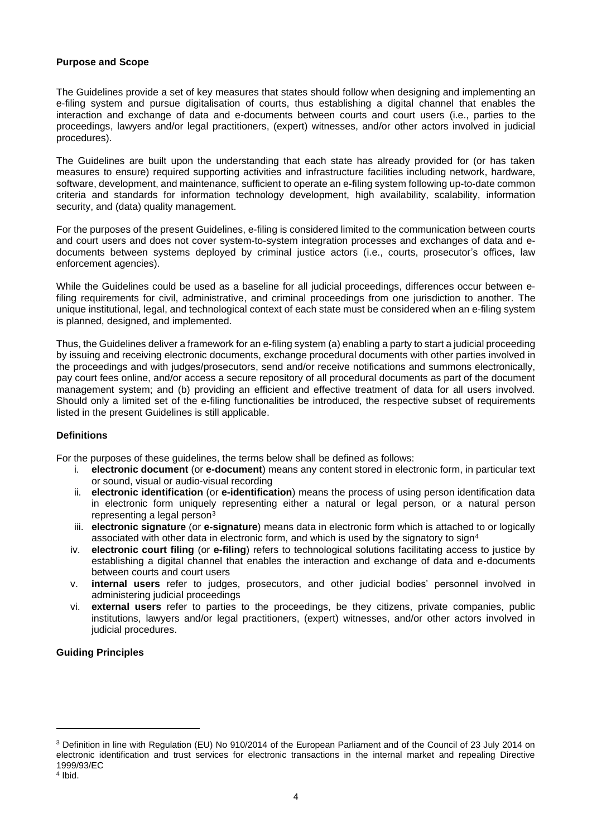#### <span id="page-3-0"></span>**Purpose and Scope**

The Guidelines provide a set of key measures that states should follow when designing and implementing an e-filing system and pursue digitalisation of courts, thus establishing a digital channel that enables the interaction and exchange of data and e-documents between courts and court users (i.e., parties to the proceedings, lawyers and/or legal practitioners, (expert) witnesses, and/or other actors involved in judicial procedures).

The Guidelines are built upon the understanding that each state has already provided for (or has taken measures to ensure) required supporting activities and infrastructure facilities including network, hardware, software, development, and maintenance, sufficient to operate an e-filing system following up-to-date common criteria and standards for information technology development, high availability, scalability, information security, and (data) quality management.

For the purposes of the present Guidelines, e-filing is considered limited to the communication between courts and court users and does not cover system-to-system integration processes and exchanges of data and edocuments between systems deployed by criminal justice actors (i.e., courts, prosecutor's offices, law enforcement agencies).

While the Guidelines could be used as a baseline for all judicial proceedings, differences occur between efiling requirements for civil, administrative, and criminal proceedings from one jurisdiction to another. The unique institutional, legal, and technological context of each state must be considered when an e-filing system is planned, designed, and implemented.

Thus, the Guidelines deliver a framework for an e-filing system (a) enabling a party to start a judicial proceeding by issuing and receiving electronic documents, exchange procedural documents with other parties involved in the proceedings and with judges/prosecutors, send and/or receive notifications and summons electronically, pay court fees online, and/or access a secure repository of all procedural documents as part of the document management system; and (b) providing an efficient and effective treatment of data for all users involved. Should only a limited set of the e-filing functionalities be introduced, the respective subset of requirements listed in the present Guidelines is still applicable.

## <span id="page-3-1"></span>**Definitions**

For the purposes of these guidelines, the terms below shall be defined as follows:

- i. **electronic document** (or **e-document**) means any content stored in electronic form, in particular text or sound, visual or audio-visual recording
- ii. **electronic identification** (or **e-identification**) means the process of using person identification data in electronic form uniquely representing either a natural or legal person, or a natural person representing a legal person<sup>3</sup>
- iii. **electronic signature** (or **e-signature**) means data in electronic form which is attached to or logically associated with other data in electronic form, and which is used by the signatory to sign<sup>4</sup>
- iv. **electronic court filing** (or **e-filing**) refers to technological solutions facilitating access to justice by establishing a digital channel that enables the interaction and exchange of data and e-documents between courts and court users
- v. **internal users** refer to judges, prosecutors, and other judicial bodies' personnel involved in administering judicial proceedings
- vi. **external users** refer to parties to the proceedings, be they citizens, private companies, public institutions, lawyers and/or legal practitioners, (expert) witnesses, and/or other actors involved in judicial procedures.

## <span id="page-3-2"></span>**Guiding Principles**

<sup>3</sup> Definition in line with Regulation (EU) No 910/2014 of the European Parliament and of the Council of 23 July 2014 on electronic identification and trust services for electronic transactions in the internal market and repealing Directive 1999/93/EC

<sup>4</sup> Ibid.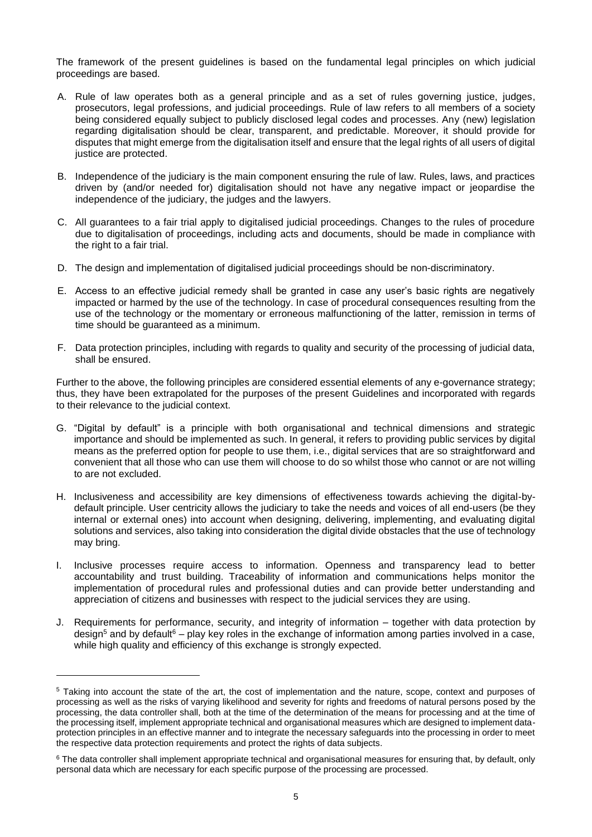The framework of the present guidelines is based on the fundamental legal principles on which judicial proceedings are based.

- A. Rule of law operates both as a general principle and as a set of rules governing justice, judges, prosecutors, legal professions, and judicial proceedings. Rule of law refers to all members of a society being considered equally subject to publicly disclosed legal codes and processes. Any (new) legislation regarding digitalisation should be clear, transparent, and predictable. Moreover, it should provide for disputes that might emerge from the digitalisation itself and ensure that the legal rights of all users of digital justice are protected.
- B. Independence of the judiciary is the main component ensuring the rule of law. Rules, laws, and practices driven by (and/or needed for) digitalisation should not have any negative impact or jeopardise the independence of the judiciary, the judges and the lawyers.
- C. All guarantees to a fair trial apply to digitalised judicial proceedings. Changes to the rules of procedure due to digitalisation of proceedings, including acts and documents, should be made in compliance with the right to a fair trial.
- D. The design and implementation of digitalised judicial proceedings should be non-discriminatory.
- E. Access to an effective judicial remedy shall be granted in case any user's basic rights are negatively impacted or harmed by the use of the technology. In case of procedural consequences resulting from the use of the technology or the momentary or erroneous malfunctioning of the latter, remission in terms of time should be guaranteed as a minimum.
- F. Data protection principles, including with regards to quality and security of the processing of judicial data, shall be ensured.

Further to the above, the following principles are considered essential elements of any e-governance strategy; thus, they have been extrapolated for the purposes of the present Guidelines and incorporated with regards to their relevance to the judicial context.

- G. "Digital by default" is a principle with both organisational and technical dimensions and strategic importance and should be implemented as such. In general, it refers to providing public services by digital means as the preferred option for people to use them, i.e., digital services that are so straightforward and convenient that all those who can use them will choose to do so whilst those who cannot or are not willing to are not excluded.
- H. Inclusiveness and accessibility are key dimensions of effectiveness towards achieving the digital-bydefault principle. User centricity allows the judiciary to take the needs and voices of all end-users (be they internal or external ones) into account when designing, delivering, implementing, and evaluating digital solutions and services, also taking into consideration the digital divide obstacles that the use of technology may bring.
- I. Inclusive processes require access to information. Openness and transparency lead to better accountability and trust building. Traceability of information and communications helps monitor the implementation of procedural rules and professional duties and can provide better understanding and appreciation of citizens and businesses with respect to the judicial services they are using.
- J. Requirements for performance, security, and integrity of information together with data protection by design<sup>5</sup> and by default<sup>6</sup> – play key roles in the exchange of information among parties involved in a case, while high quality and efficiency of this exchange is strongly expected.

<sup>5</sup> Taking into account the state of the art, the cost of implementation and the nature, scope, context and purposes of processing as well as the risks of varying likelihood and severity for rights and freedoms of natural persons posed by the processing, the data controller shall, both at the time of the determination of the means for processing and at the time of the processing itself, implement appropriate technical and organisational measures which are designed to implement dataprotection principles in an effective manner and to integrate the necessary safeguards into the processing in order to meet the respective data protection requirements and protect the rights of data subjects.

<sup>&</sup>lt;sup>6</sup> The data controller shall implement appropriate technical and organisational measures for ensuring that, by default, only personal data which are necessary for each specific purpose of the processing are processed.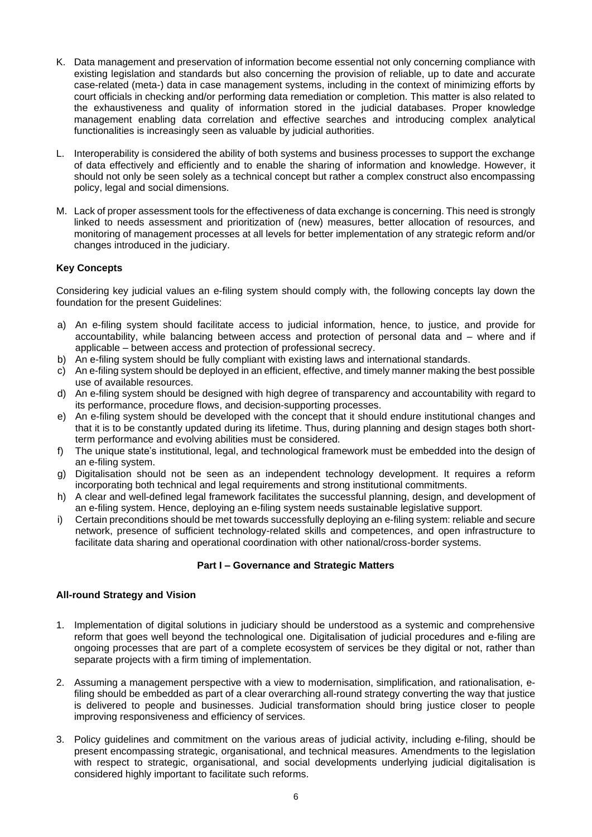- K. Data management and preservation of information become essential not only concerning compliance with existing legislation and standards but also concerning the provision of reliable, up to date and accurate case-related (meta-) data in case management systems, including in the context of minimizing efforts by court officials in checking and/or performing data remediation or completion. This matter is also related to the exhaustiveness and quality of information stored in the judicial databases. Proper knowledge management enabling data correlation and effective searches and introducing complex analytical functionalities is increasingly seen as valuable by judicial authorities.
- L. Interoperability is considered the ability of both systems and business processes to support the exchange of data effectively and efficiently and to enable the sharing of information and knowledge. However, it should not only be seen solely as a technical concept but rather a complex construct also encompassing policy, legal and social dimensions.
- M. Lack of proper assessment tools for the effectiveness of data exchange is concerning. This need is strongly linked to needs assessment and prioritization of (new) measures, better allocation of resources, and monitoring of management processes at all levels for better implementation of any strategic reform and/or changes introduced in the judiciary.

# <span id="page-5-0"></span>**Key Concepts**

Considering key judicial values an e-filing system should comply with, the following concepts lay down the foundation for the present Guidelines:

- a) An e-filing system should facilitate access to judicial information, hence, to justice, and provide for accountability, while balancing between access and protection of personal data and – where and if applicable – between access and protection of professional secrecy.
- b) An e-filing system should be fully compliant with existing laws and international standards.
- c) An e-filing system should be deployed in an efficient, effective, and timely manner making the best possible use of available resources.
- d) An e-filing system should be designed with high degree of transparency and accountability with regard to its performance, procedure flows, and decision-supporting processes.
- e) An e-filing system should be developed with the concept that it should endure institutional changes and that it is to be constantly updated during its lifetime. Thus, during planning and design stages both shortterm performance and evolving abilities must be considered.
- f) The unique state's institutional, legal, and technological framework must be embedded into the design of an e-filing system.
- g) Digitalisation should not be seen as an independent technology development. It requires a reform incorporating both technical and legal requirements and strong institutional commitments.
- h) A clear and well-defined legal framework facilitates the successful planning, design, and development of an e-filing system. Hence, deploying an e-filing system needs sustainable legislative support.
- i) Certain preconditions should be met towards successfully deploying an e-filing system: reliable and secure network, presence of sufficient technology-related skills and competences, and open infrastructure to facilitate data sharing and operational coordination with other national/cross-border systems.

## **Part I – Governance and Strategic Matters**

## <span id="page-5-2"></span><span id="page-5-1"></span>**All-round Strategy and Vision**

- 1. Implementation of digital solutions in judiciary should be understood as a systemic and comprehensive reform that goes well beyond the technological one. Digitalisation of judicial procedures and e-filing are ongoing processes that are part of a complete ecosystem of services be they digital or not, rather than separate projects with a firm timing of implementation.
- 2. Assuming a management perspective with a view to modernisation, simplification, and rationalisation, efiling should be embedded as part of a clear overarching all-round strategy converting the way that justice is delivered to people and businesses. Judicial transformation should bring justice closer to people improving responsiveness and efficiency of services.
- 3. Policy guidelines and commitment on the various areas of judicial activity, including e-filing, should be present encompassing strategic, organisational, and technical measures. Amendments to the legislation with respect to strategic, organisational, and social developments underlying judicial digitalisation is considered highly important to facilitate such reforms.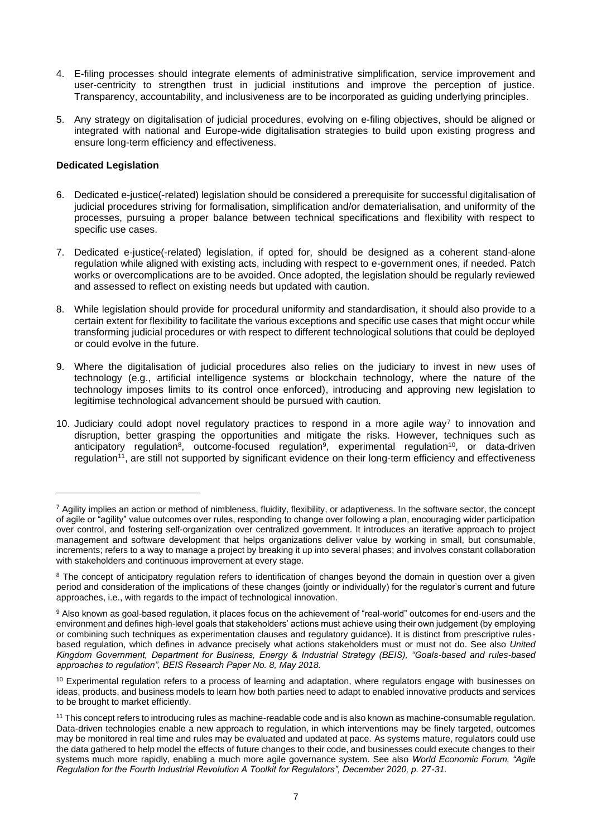- 4. E-filing processes should integrate elements of administrative simplification, service improvement and user-centricity to strengthen trust in judicial institutions and improve the perception of justice. Transparency, accountability, and inclusiveness are to be incorporated as guiding underlying principles.
- 5. Any strategy on digitalisation of judicial procedures, evolving on e-filing objectives, should be aligned or integrated with national and Europe-wide digitalisation strategies to build upon existing progress and ensure long-term efficiency and effectiveness.

#### <span id="page-6-0"></span>**Dedicated Legislation**

- 6. Dedicated e-justice(-related) legislation should be considered a prerequisite for successful digitalisation of judicial procedures striving for formalisation, simplification and/or dematerialisation, and uniformity of the processes, pursuing a proper balance between technical specifications and flexibility with respect to specific use cases.
- 7. Dedicated e-justice(-related) legislation, if opted for, should be designed as a coherent stand-alone regulation while aligned with existing acts, including with respect to e-government ones, if needed. Patch works or overcomplications are to be avoided. Once adopted, the legislation should be regularly reviewed and assessed to reflect on existing needs but updated with caution.
- 8. While legislation should provide for procedural uniformity and standardisation, it should also provide to a certain extent for flexibility to facilitate the various exceptions and specific use cases that might occur while transforming judicial procedures or with respect to different technological solutions that could be deployed or could evolve in the future.
- 9. Where the digitalisation of judicial procedures also relies on the judiciary to invest in new uses of technology (e.g., artificial intelligence systems or blockchain technology, where the nature of the technology imposes limits to its control once enforced), introducing and approving new legislation to legitimise technological advancement should be pursued with caution.
- 10. Judiciary could adopt novel regulatory practices to respond in a more agile way<sup>7</sup> to innovation and disruption, better grasping the opportunities and mitigate the risks. However, techniques such as anticipatory regulation<sup>8</sup>, outcome-focused regulation<sup>9</sup>, experimental regulation<sup>10</sup>, or data-driven regulation<sup>11</sup>, are still not supported by significant evidence on their long-term efficiency and effectiveness

 $^7$  Agility implies an action or method of nimbleness, fluidity, flexibility, or adaptiveness. In the software sector, the concept of agile or "agility" value outcomes over rules, responding to change over following a plan, encouraging wider participation over control, and fostering self-organization over centralized government. It introduces an iterative approach to project management and software development that helps organizations deliver value by working in small, but consumable, increments; refers to a way to manage a project by breaking it up into several phases; and involves constant collaboration with stakeholders and continuous improvement at every stage.

<sup>&</sup>lt;sup>8</sup> The concept of anticipatory regulation refers to identification of changes beyond the domain in question over a given period and consideration of the implications of these changes (jointly or individually) for the regulator's current and future approaches, i.e., with regards to the impact of technological innovation.

<sup>9</sup> Also known as goal-based regulation, it places focus on the achievement of "real-world" outcomes for end-users and the environment and defines high-level goals that stakeholders' actions must achieve using their own judgement (by employing or combining such techniques as experimentation clauses and regulatory guidance). It is distinct from prescriptive rulesbased regulation, which defines in advance precisely what actions stakeholders must or must not do. See also *United Kingdom Government, Department for Business, Energy & Industrial Strategy (BEIS), "Goals-based and rules-based approaches to regulation", BEIS Research Paper No. 8, May 2018.*

<sup>10</sup> Experimental regulation refers to a process of learning and adaptation, where regulators engage with businesses on ideas, products, and business models to learn how both parties need to adapt to enabled innovative products and services to be brought to market efficiently.

<sup>11</sup> This concept refers to introducing rules as machine-readable code and is also known as machine-consumable regulation. Data-driven technologies enable a new approach to regulation, in which interventions may be finely targeted, outcomes may be monitored in real time and rules may be evaluated and updated at pace. As systems mature, regulators could use the data gathered to help model the effects of future changes to their code, and businesses could execute changes to their systems much more rapidly, enabling a much more agile governance system. See also *World Economic Forum, "Agile Regulation for the Fourth Industrial Revolution A Toolkit for Regulators", December 2020, p. 27-31.*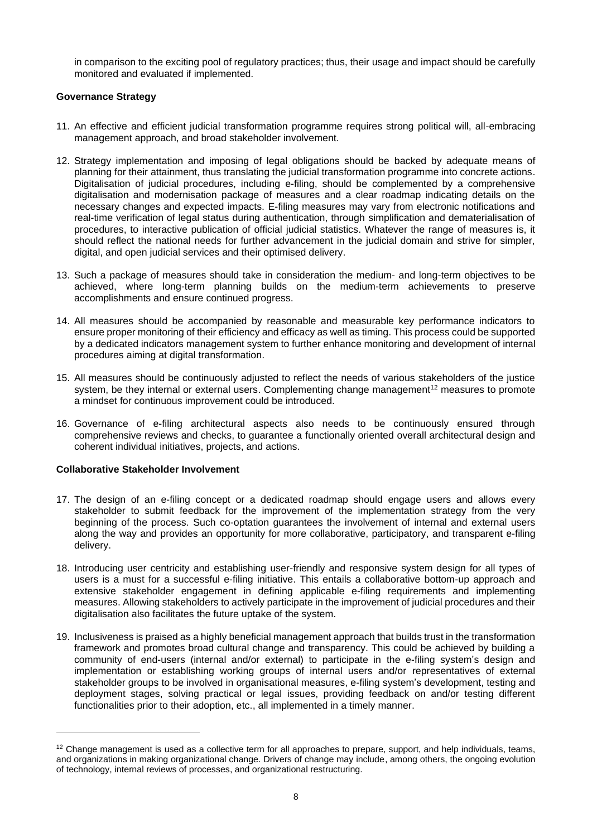in comparison to the exciting pool of regulatory practices; thus, their usage and impact should be carefully monitored and evaluated if implemented.

# <span id="page-7-0"></span>**Governance Strategy**

- 11. An effective and efficient judicial transformation programme requires strong political will, all-embracing management approach, and broad stakeholder involvement.
- 12. Strategy implementation and imposing of legal obligations should be backed by adequate means of planning for their attainment, thus translating the judicial transformation programme into concrete actions. Digitalisation of judicial procedures, including e-filing, should be complemented by a comprehensive digitalisation and modernisation package of measures and a clear roadmap indicating details on the necessary changes and expected impacts. E-filing measures may vary from electronic notifications and real-time verification of legal status during authentication, through simplification and dematerialisation of procedures, to interactive publication of official judicial statistics. Whatever the range of measures is, it should reflect the national needs for further advancement in the judicial domain and strive for simpler, digital, and open judicial services and their optimised delivery.
- 13. Such a package of measures should take in consideration the medium- and long-term objectives to be achieved, where long-term planning builds on the medium-term achievements to preserve accomplishments and ensure continued progress.
- 14. All measures should be accompanied by reasonable and measurable key performance indicators to ensure proper monitoring of their efficiency and efficacy as well as timing. This process could be supported by a dedicated indicators management system to further enhance monitoring and development of internal procedures aiming at digital transformation.
- 15. All measures should be continuously adjusted to reflect the needs of various stakeholders of the justice system, be they internal or external users. Complementing change management<sup>12</sup> measures to promote a mindset for continuous improvement could be introduced.
- 16. Governance of e-filing architectural aspects also needs to be continuously ensured through comprehensive reviews and checks, to guarantee a functionally oriented overall architectural design and coherent individual initiatives, projects, and actions.

## <span id="page-7-1"></span>**Collaborative Stakeholder Involvement**

- 17. The design of an e-filing concept or a dedicated roadmap should engage users and allows every stakeholder to submit feedback for the improvement of the implementation strategy from the very beginning of the process. Such co-optation guarantees the involvement of internal and external users along the way and provides an opportunity for more collaborative, participatory, and transparent e-filing delivery.
- 18. Introducing user centricity and establishing user-friendly and responsive system design for all types of users is a must for a successful e-filing initiative. This entails a collaborative bottom-up approach and extensive stakeholder engagement in defining applicable e-filing requirements and implementing measures. Allowing stakeholders to actively participate in the improvement of judicial procedures and their digitalisation also facilitates the future uptake of the system.
- 19. Inclusiveness is praised as a highly beneficial management approach that builds trust in the transformation framework and promotes broad cultural change and transparency. This could be achieved by building a community of end-users (internal and/or external) to participate in the e-filing system's design and implementation or establishing working groups of internal users and/or representatives of external stakeholder groups to be involved in organisational measures, e-filing system's development, testing and deployment stages, solving practical or legal issues, providing feedback on and/or testing different functionalities prior to their adoption, etc., all implemented in a timely manner.

 $12$  Change management is used as a collective term for all approaches to prepare, support, and help individuals, teams, and organizations in making organizational change. Drivers of change may include, among others, the ongoing evolution of technology, internal reviews of processes, and organizational restructuring.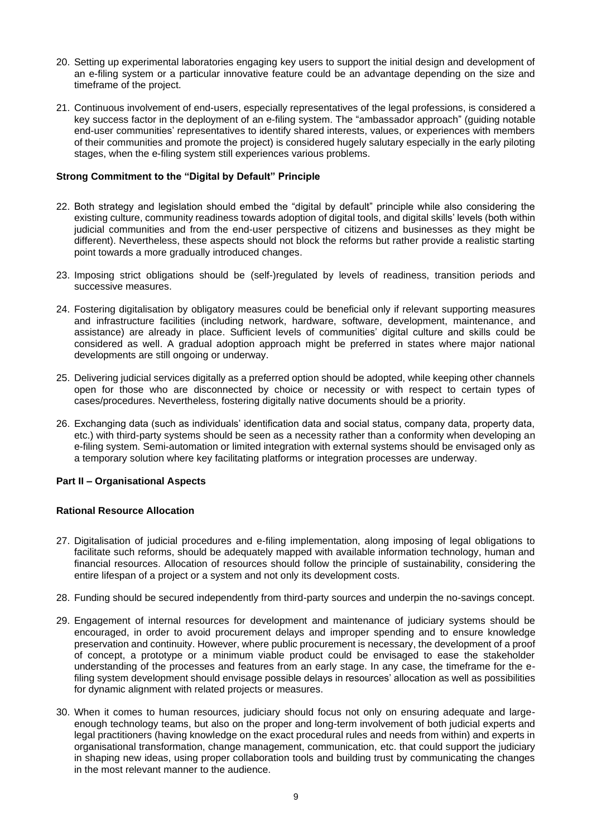- 20. Setting up experimental laboratories engaging key users to support the initial design and development of an e-filing system or a particular innovative feature could be an advantage depending on the size and timeframe of the project.
- 21. Continuous involvement of end-users, especially representatives of the legal professions, is considered a key success factor in the deployment of an e-filing system. The "ambassador approach" (guiding notable end-user communities' representatives to identify shared interests, values, or experiences with members of their communities and promote the project) is considered hugely salutary especially in the early piloting stages, when the e-filing system still experiences various problems.

## <span id="page-8-0"></span>**Strong Commitment to the "Digital by Default" Principle**

- 22. Both strategy and legislation should embed the "digital by default" principle while also considering the existing culture, community readiness towards adoption of digital tools, and digital skills' levels (both within judicial communities and from the end-user perspective of citizens and businesses as they might be different). Nevertheless, these aspects should not block the reforms but rather provide a realistic starting point towards a more gradually introduced changes.
- 23. Imposing strict obligations should be (self-)regulated by levels of readiness, transition periods and successive measures.
- 24. Fostering digitalisation by obligatory measures could be beneficial only if relevant supporting measures and infrastructure facilities (including network, hardware, software, development, maintenance, and assistance) are already in place. Sufficient levels of communities' digital culture and skills could be considered as well. A gradual adoption approach might be preferred in states where major national developments are still ongoing or underway.
- 25. Delivering judicial services digitally as a preferred option should be adopted, while keeping other channels open for those who are disconnected by choice or necessity or with respect to certain types of cases/procedures. Nevertheless, fostering digitally native documents should be a priority.
- 26. Exchanging data (such as individuals' identification data and social status, company data, property data, etc.) with third-party systems should be seen as a necessity rather than a conformity when developing an e-filing system. Semi-automation or limited integration with external systems should be envisaged only as a temporary solution where key facilitating platforms or integration processes are underway.

## <span id="page-8-1"></span>**Part II – Organisational Aspects**

#### <span id="page-8-2"></span>**Rational Resource Allocation**

- 27. Digitalisation of judicial procedures and e-filing implementation, along imposing of legal obligations to facilitate such reforms, should be adequately mapped with available information technology, human and financial resources. Allocation of resources should follow the principle of sustainability, considering the entire lifespan of a project or a system and not only its development costs.
- 28. Funding should be secured independently from third-party sources and underpin the no-savings concept.
- 29. Engagement of internal resources for development and maintenance of judiciary systems should be encouraged, in order to avoid procurement delays and improper spending and to ensure knowledge preservation and continuity. However, where public procurement is necessary, the development of a proof of concept, a prototype or a minimum viable product could be envisaged to ease the stakeholder understanding of the processes and features from an early stage. In any case, the timeframe for the efiling system development should envisage possible delays in resources' allocation as well as possibilities for dynamic alignment with related projects or measures.
- 30. When it comes to human resources, judiciary should focus not only on ensuring adequate and largeenough technology teams, but also on the proper and long-term involvement of both judicial experts and legal practitioners (having knowledge on the exact procedural rules and needs from within) and experts in organisational transformation, change management, communication, etc. that could support the judiciary in shaping new ideas, using proper collaboration tools and building trust by communicating the changes in the most relevant manner to the audience.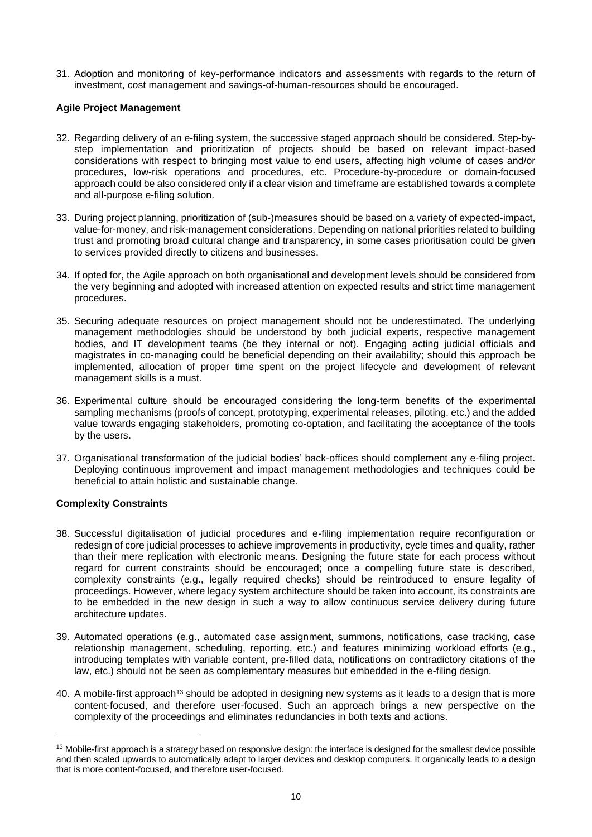31. Adoption and monitoring of key-performance indicators and assessments with regards to the return of investment, cost management and savings-of-human-resources should be encouraged.

# <span id="page-9-0"></span>**Agile Project Management**

- 32. Regarding delivery of an e-filing system, the successive staged approach should be considered. Step-bystep implementation and prioritization of projects should be based on relevant impact-based considerations with respect to bringing most value to end users, affecting high volume of cases and/or procedures, low-risk operations and procedures, etc. Procedure-by-procedure or domain-focused approach could be also considered only if a clear vision and timeframe are established towards a complete and all-purpose e-filing solution.
- 33. During project planning, prioritization of (sub-)measures should be based on a variety of expected-impact, value-for-money, and risk-management considerations. Depending on national priorities related to building trust and promoting broad cultural change and transparency, in some cases prioritisation could be given to services provided directly to citizens and businesses.
- 34. If opted for, the Agile approach on both organisational and development levels should be considered from the very beginning and adopted with increased attention on expected results and strict time management procedures.
- 35. Securing adequate resources on project management should not be underestimated. The underlying management methodologies should be understood by both judicial experts, respective management bodies, and IT development teams (be they internal or not). Engaging acting judicial officials and magistrates in co-managing could be beneficial depending on their availability; should this approach be implemented, allocation of proper time spent on the project lifecycle and development of relevant management skills is a must.
- 36. Experimental culture should be encouraged considering the long-term benefits of the experimental sampling mechanisms (proofs of concept, prototyping, experimental releases, piloting, etc.) and the added value towards engaging stakeholders, promoting co-optation, and facilitating the acceptance of the tools by the users.
- 37. Organisational transformation of the judicial bodies' back-offices should complement any e-filing project. Deploying continuous improvement and impact management methodologies and techniques could be beneficial to attain holistic and sustainable change.

# <span id="page-9-1"></span>**Complexity Constraints**

- 38. Successful digitalisation of judicial procedures and e-filing implementation require reconfiguration or redesign of core judicial processes to achieve improvements in productivity, cycle times and quality, rather than their mere replication with electronic means. Designing the future state for each process without regard for current constraints should be encouraged; once a compelling future state is described, complexity constraints (e.g., legally required checks) should be reintroduced to ensure legality of proceedings. However, where legacy system architecture should be taken into account, its constraints are to be embedded in the new design in such a way to allow continuous service delivery during future architecture updates.
- 39. Automated operations (e.g., automated case assignment, summons, notifications, case tracking, case relationship management, scheduling, reporting, etc.) and features minimizing workload efforts (e.g., introducing templates with variable content, pre-filled data, notifications on contradictory citations of the law, etc.) should not be seen as complementary measures but embedded in the e-filing design.
- 40. A mobile-first approach<sup>13</sup> should be adopted in designing new systems as it leads to a design that is more content-focused, and therefore user-focused. Such an approach brings a new perspective on the complexity of the proceedings and eliminates redundancies in both texts and actions.

<sup>&</sup>lt;sup>13</sup> Mobile-first approach is a strategy based on responsive design: the interface is designed for the smallest device possible and then scaled upwards to automatically adapt to larger devices and desktop computers. It organically leads to a design that is more content-focused, and therefore user-focused.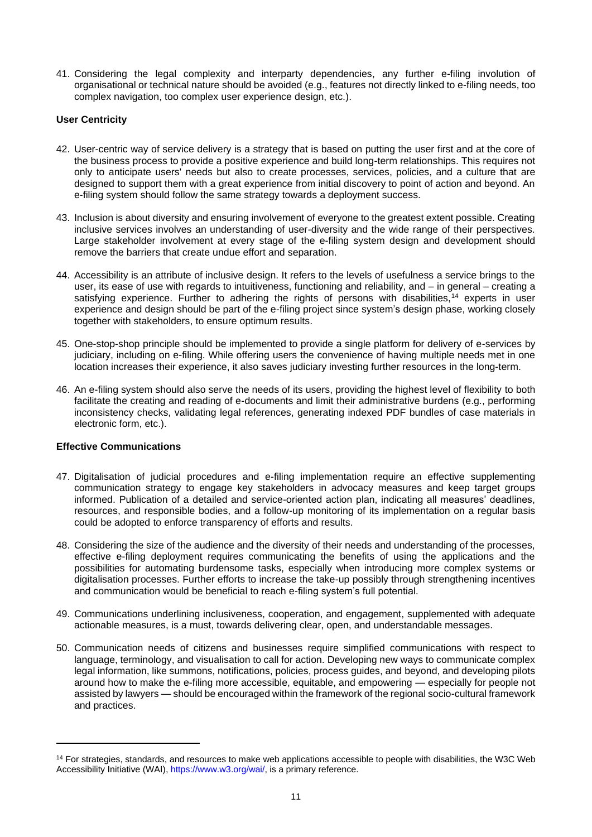41. Considering the legal complexity and interparty dependencies, any further e-filing involution of organisational or technical nature should be avoided (e.g., features not directly linked to e-filing needs, too complex navigation, too complex user experience design, etc.).

## <span id="page-10-0"></span>**User Centricity**

- 42. User-centric way of service delivery is a strategy that is based on putting the user first and at the core of the business process to provide a positive experience and build long-term relationships. This requires not only to anticipate users' needs but also to create processes, services, policies, and a culture that are designed to support them with a great experience from initial discovery to point of action and beyond. An e-filing system should follow the same strategy towards a deployment success.
- 43. Inclusion is about diversity and ensuring involvement of everyone to the greatest extent possible. Creating inclusive services involves an understanding of user-diversity and the wide range of their perspectives. Large stakeholder involvement at every stage of the e-filing system design and development should remove the barriers that create undue effort and separation.
- 44. Accessibility is an attribute of inclusive design. It refers to the levels of usefulness a service brings to the user, its ease of use with regards to intuitiveness, functioning and reliability, and – in general – creating a satisfying experience. Further to adhering the rights of persons with disabilities,<sup>14</sup> experts in user experience and design should be part of the e-filing project since system's design phase, working closely together with stakeholders, to ensure optimum results.
- 45. One-stop-shop principle should be implemented to provide a single platform for delivery of e-services by judiciary, including on e-filing. While offering users the convenience of having multiple needs met in one location increases their experience, it also saves judiciary investing further resources in the long-term.
- 46. An e-filing system should also serve the needs of its users, providing the highest level of flexibility to both facilitate the creating and reading of e-documents and limit their administrative burdens (e.g., performing inconsistency checks, validating legal references, generating indexed PDF bundles of case materials in electronic form, etc.).

## <span id="page-10-1"></span>**Effective Communications**

- 47. Digitalisation of judicial procedures and e-filing implementation require an effective supplementing communication strategy to engage key stakeholders in advocacy measures and keep target groups informed. Publication of a detailed and service-oriented action plan, indicating all measures' deadlines, resources, and responsible bodies, and a follow-up monitoring of its implementation on a regular basis could be adopted to enforce transparency of efforts and results.
- 48. Considering the size of the audience and the diversity of their needs and understanding of the processes, effective e-filing deployment requires communicating the benefits of using the applications and the possibilities for automating burdensome tasks, especially when introducing more complex systems or digitalisation processes. Further efforts to increase the take-up possibly through strengthening incentives and communication would be beneficial to reach e-filing system's full potential.
- 49. Communications underlining inclusiveness, cooperation, and engagement, supplemented with adequate actionable measures, is a must, towards delivering clear, open, and understandable messages.
- 50. Communication needs of citizens and businesses require simplified communications with respect to language, terminology, and visualisation to call for action. Developing new ways to communicate complex legal information, like summons, notifications, policies, process guides, and beyond, and developing pilots around how to make the e-filing more accessible, equitable, and empowering — especially for people not assisted by lawyers — should be encouraged within the framework of the regional socio-cultural framework and practices.

<sup>&</sup>lt;sup>14</sup> For strategies, standards, and resources to make web applications accessible to people with disabilities, the W3C Web Accessibility Initiative (WAI)[, https://www.w3.org/wai/,](https://www.w3.org/wai/) is a primary reference.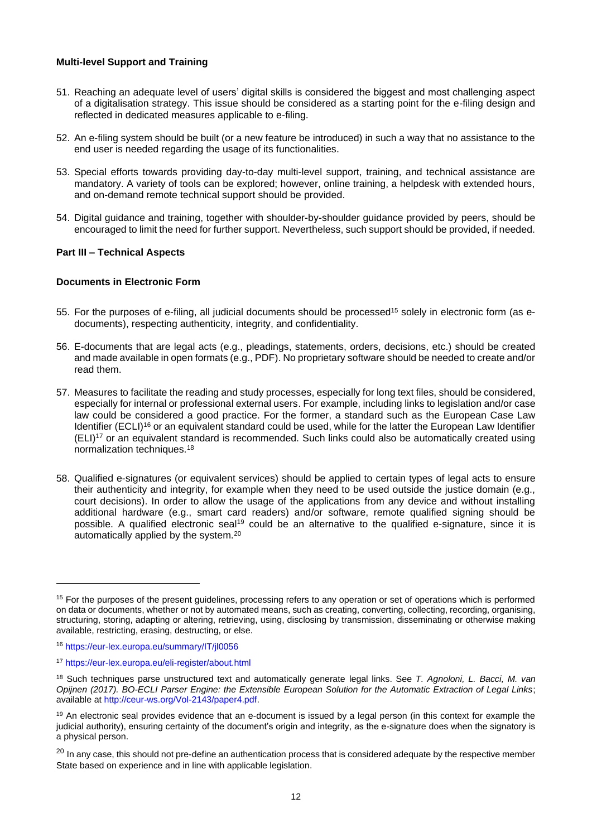#### <span id="page-11-0"></span>**Multi-level Support and Training**

- 51. Reaching an adequate level of users' digital skills is considered the biggest and most challenging aspect of a digitalisation strategy. This issue should be considered as a starting point for the e-filing design and reflected in dedicated measures applicable to e-filing.
- 52. An e-filing system should be built (or a new feature be introduced) in such a way that no assistance to the end user is needed regarding the usage of its functionalities.
- 53. Special efforts towards providing day-to-day multi-level support, training, and technical assistance are mandatory. A variety of tools can be explored; however, online training, a helpdesk with extended hours, and on-demand remote technical support should be provided.
- 54. Digital guidance and training, together with shoulder-by-shoulder guidance provided by peers, should be encouraged to limit the need for further support. Nevertheless, such support should be provided, if needed.

#### <span id="page-11-1"></span>**Part III – Technical Aspects**

#### <span id="page-11-2"></span>**Documents in Electronic Form**

- 55. For the purposes of e-filing, all judicial documents should be processed<sup>15</sup> solely in electronic form (as edocuments), respecting authenticity, integrity, and confidentiality.
- 56. E-documents that are legal acts (e.g., pleadings, statements, orders, decisions, etc.) should be created and made available in open formats (e.g., PDF). No proprietary software should be needed to create and/or read them.
- 57. Measures to facilitate the reading and study processes, especially for long text files, should be considered, especially for internal or professional external users. For example, including links to legislation and/or case law could be considered a good practice. For the former, a standard such as the European Case Law Identifier (ECLI)<sup>16</sup> or an equivalent standard could be used, while for the latter the European Law Identifier (ELI)<sup>17</sup> or an equivalent standard is recommended. Such links could also be automatically created using normalization techniques.<sup>18</sup>
- 58. Qualified e-signatures (or equivalent services) should be applied to certain types of legal acts to ensure their authenticity and integrity, for example when they need to be used outside the justice domain (e.g., court decisions). In order to allow the usage of the applications from any device and without installing additional hardware (e.g., smart card readers) and/or software, remote qualified signing should be possible. A qualified electronic seal<sup>19</sup> could be an alternative to the qualified e-signature, since it is automatically applied by the system.<sup>20</sup>

<sup>&</sup>lt;sup>15</sup> For the purposes of the present guidelines, processing refers to any operation or set of operations which is performed on data or documents, whether or not by automated means, such as creating, converting, collecting, recording, organising, structuring, storing, adapting or altering, retrieving, using, disclosing by transmission, disseminating or otherwise making available, restricting, erasing, destructing, or else.

<sup>16</sup> <https://eur-lex.europa.eu/summary/IT/jl0056>

<sup>17</sup> <https://eur-lex.europa.eu/eli-register/about.html>

<sup>18</sup> Such techniques parse unstructured text and automatically generate legal links. See *T. Agnoloni, L. Bacci, M. van Opijnen (2017). BO-ECLI Parser Engine: the Extensible European Solution for the Automatic Extraction of Legal Links*; available a[t http://ceur-ws.org/Vol-2143/paper4.pdf.](http://ceur-ws.org/Vol-2143/paper4.pdf)

 $19$  An electronic seal provides evidence that an e-document is issued by a legal person (in this context for example the judicial authority), ensuring certainty of the document's origin and integrity, as the e-signature does when the signatory is a physical person.

<sup>&</sup>lt;sup>20</sup> In any case, this should not pre-define an authentication process that is considered adequate by the respective member State based on experience and in line with applicable legislation.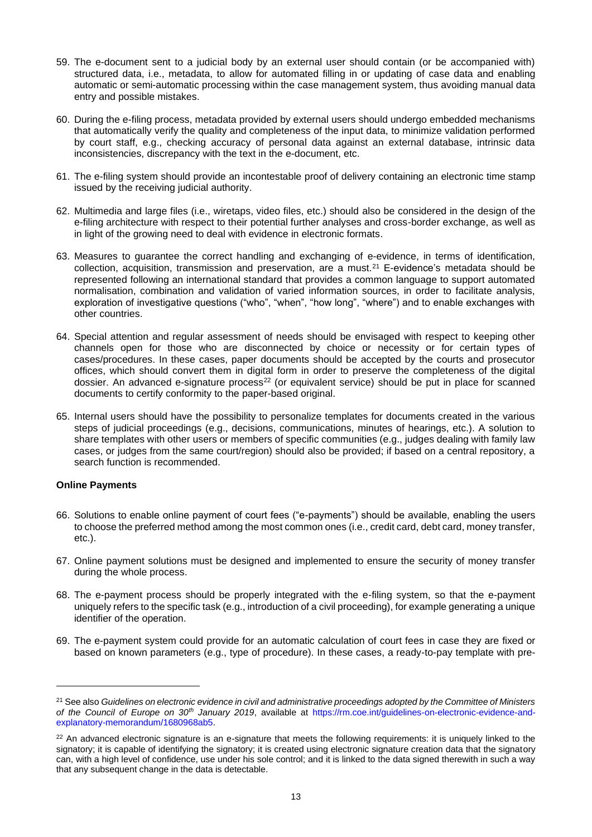- 59. The e-document sent to a judicial body by an external user should contain (or be accompanied with) structured data, i.e., metadata, to allow for automated filling in or updating of case data and enabling automatic or semi-automatic processing within the case management system, thus avoiding manual data entry and possible mistakes.
- 60. During the e-filing process, metadata provided by external users should undergo embedded mechanisms that automatically verify the quality and completeness of the input data, to minimize validation performed by court staff, e.g., checking accuracy of personal data against an external database, intrinsic data inconsistencies, discrepancy with the text in the e-document, etc.
- 61. The e-filing system should provide an incontestable proof of delivery containing an electronic time stamp issued by the receiving judicial authority.
- 62. Multimedia and large files (i.e., wiretaps, video files, etc.) should also be considered in the design of the e-filing architecture with respect to their potential further analyses and cross-border exchange, as well as in light of the growing need to deal with evidence in electronic formats.
- 63. Measures to guarantee the correct handling and exchanging of e-evidence, in terms of identification, collection, acquisition, transmission and preservation, are a must.<sup>21</sup> E-evidence's metadata should be represented following an international standard that provides a common language to support automated normalisation, combination and validation of varied information sources, in order to facilitate analysis, exploration of investigative questions ("who", "when", "how long", "where") and to enable exchanges with other countries.
- 64. Special attention and regular assessment of needs should be envisaged with respect to keeping other channels open for those who are disconnected by choice or necessity or for certain types of cases/procedures. In these cases, paper documents should be accepted by the courts and prosecutor offices, which should convert them in digital form in order to preserve the completeness of the digital dossier. An advanced e-signature process<sup>22</sup> (or equivalent service) should be put in place for scanned documents to certify conformity to the paper-based original.
- 65. Internal users should have the possibility to personalize templates for documents created in the various steps of judicial proceedings (e.g., decisions, communications, minutes of hearings, etc.). A solution to share templates with other users or members of specific communities (e.g., judges dealing with family law cases, or judges from the same court/region) should also be provided; if based on a central repository, a search function is recommended.

## <span id="page-12-0"></span>**Online Payments**

- 66. Solutions to enable online payment of court fees ("e-payments") should be available, enabling the users to choose the preferred method among the most common ones (i.e., credit card, debt card, money transfer, etc.).
- 67. Online payment solutions must be designed and implemented to ensure the security of money transfer during the whole process.
- 68. The e-payment process should be properly integrated with the e-filing system, so that the e-payment uniquely refers to the specific task (e.g., introduction of a civil proceeding), for example generating a unique identifier of the operation.
- 69. The e-payment system could provide for an automatic calculation of court fees in case they are fixed or based on known parameters (e.g., type of procedure). In these cases, a ready-to-pay template with pre-

<sup>21</sup> See also *Guidelines on electronic evidence in civil and administrative proceedings adopted by the Committee of Ministers of the Council of Europe on 30th January 2019*, available at [https://rm.coe.int/guidelines-on-electronic-evidence-and](https://rm.coe.int/guidelines-on-electronic-evidence-and-explanatory-memorandum/1680968ab5)[explanatory-memorandum/1680968ab5.](https://rm.coe.int/guidelines-on-electronic-evidence-and-explanatory-memorandum/1680968ab5)

<sup>&</sup>lt;sup>22</sup> An advanced electronic signature is an e-signature that meets the following requirements: it is uniquely linked to the signatory; it is capable of identifying the signatory; it is created using electronic signature creation data that the signatory can, with a high level of confidence, use under his sole control; and it is linked to the data signed therewith in such a way that any subsequent change in the data is detectable.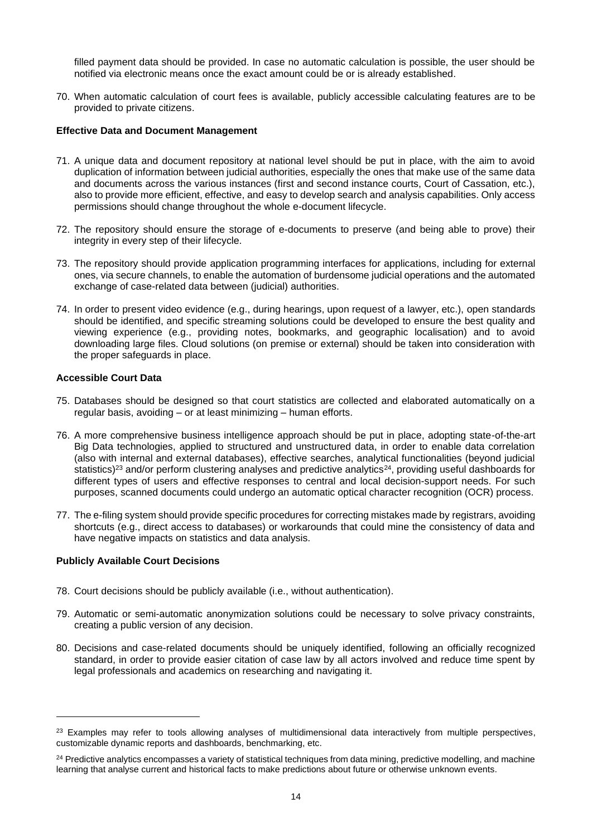filled payment data should be provided. In case no automatic calculation is possible, the user should be notified via electronic means once the exact amount could be or is already established.

70. When automatic calculation of court fees is available, publicly accessible calculating features are to be provided to private citizens.

#### <span id="page-13-0"></span>**Effective Data and Document Management**

- 71. A unique data and document repository at national level should be put in place, with the aim to avoid duplication of information between judicial authorities, especially the ones that make use of the same data and documents across the various instances (first and second instance courts, Court of Cassation, etc.), also to provide more efficient, effective, and easy to develop search and analysis capabilities. Only access permissions should change throughout the whole e-document lifecycle.
- 72. The repository should ensure the storage of e-documents to preserve (and being able to prove) their integrity in every step of their lifecycle.
- 73. The repository should provide application programming interfaces for applications, including for external ones, via secure channels, to enable the automation of burdensome judicial operations and the automated exchange of case-related data between (judicial) authorities.
- 74. In order to present video evidence (e.g., during hearings, upon request of a lawyer, etc.), open standards should be identified, and specific streaming solutions could be developed to ensure the best quality and viewing experience (e.g., providing notes, bookmarks, and geographic localisation) and to avoid downloading large files. Cloud solutions (on premise or external) should be taken into consideration with the proper safeguards in place.

#### <span id="page-13-1"></span>**Accessible Court Data**

- 75. Databases should be designed so that court statistics are collected and elaborated automatically on a regular basis, avoiding – or at least minimizing – human efforts.
- 76. A more comprehensive business intelligence approach should be put in place, adopting state-of-the-art Big Data technologies, applied to structured and unstructured data, in order to enable data correlation (also with internal and external databases), effective searches, analytical functionalities (beyond judicial statistics)<sup>23</sup> and/or perform clustering analyses and predictive analytics<sup>24</sup>, providing useful dashboards for different types of users and effective responses to central and local decision-support needs. For such purposes, scanned documents could undergo an automatic optical character recognition (OCR) process.
- 77. The e-filing system should provide specific procedures for correcting mistakes made by registrars, avoiding shortcuts (e.g., direct access to databases) or workarounds that could mine the consistency of data and have negative impacts on statistics and data analysis.

## <span id="page-13-2"></span>**Publicly Available Court Decisions**

- 78. Court decisions should be publicly available (i.e., without authentication).
- 79. Automatic or semi-automatic anonymization solutions could be necessary to solve privacy constraints, creating a public version of any decision.
- 80. Decisions and case-related documents should be uniquely identified, following an officially recognized standard, in order to provide easier citation of case law by all actors involved and reduce time spent by legal professionals and academics on researching and navigating it.

<span id="page-13-3"></span><sup>&</sup>lt;sup>23</sup> Examples may refer to tools allowing analyses of multidimensional data interactively from multiple perspectives, customizable dynamic reports and dashboards, benchmarking, etc.

<sup>&</sup>lt;sup>24</sup> Predictive analytics encompasses a variety of statistical techniques from data mining, predictive modelling, and machine learning that analyse current and historical facts to make predictions about future or otherwise unknown events.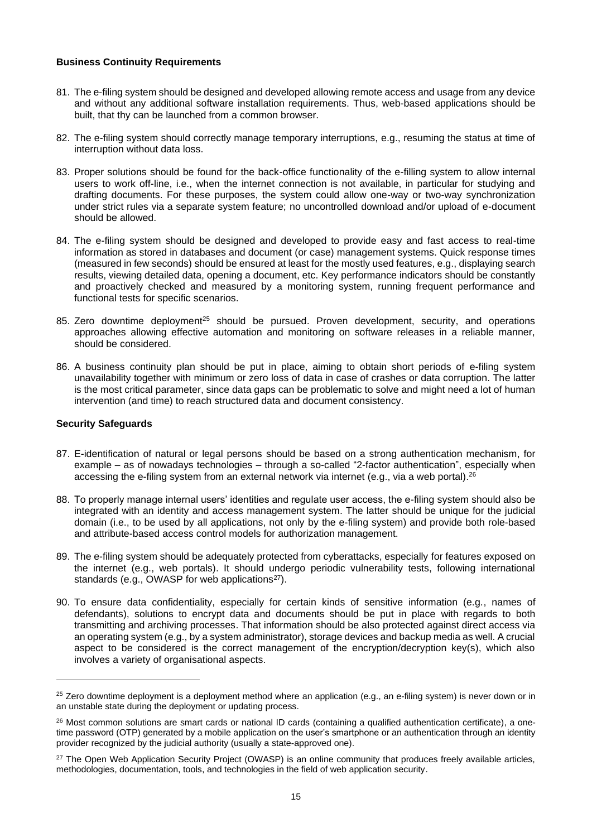#### **Business Continuity Requirements**

- 81. The e-filing system should be designed and developed allowing remote access and usage from any device and without any additional software installation requirements. Thus, web-based applications should be built, that thy can be launched from a common browser.
- 82. The e-filing system should correctly manage temporary interruptions, e.g., resuming the status at time of interruption without data loss.
- 83. Proper solutions should be found for the back-office functionality of the e-filling system to allow internal users to work off-line, i.e., when the internet connection is not available, in particular for studying and drafting documents. For these purposes, the system could allow one-way or two-way synchronization under strict rules via a separate system feature; no uncontrolled download and/or upload of e-document should be allowed.
- 84. The e-filing system should be designed and developed to provide easy and fast access to real-time information as stored in databases and document (or case) management systems. Quick response times (measured in few seconds) should be ensured at least for the mostly used features, e.g., displaying search results, viewing detailed data, opening a document, etc. Key performance indicators should be constantly and proactively checked and measured by a monitoring system, running frequent performance and functional tests for specific scenarios.
- 85. Zero downtime deployment<sup>25</sup> should be pursued. Proven development, security, and operations approaches allowing effective automation and monitoring on software releases in a reliable manner, should be considered.
- 86. A business continuity plan should be put in place, aiming to obtain short periods of e-filing system unavailability together with minimum or zero loss of data in case of crashes or data corruption. The latter is the most critical parameter, since data gaps can be problematic to solve and might need a lot of human intervention (and time) to reach structured data and document consistency.

#### <span id="page-14-0"></span>**Security Safeguards**

- 87. E-identification of natural or legal persons should be based on a strong authentication mechanism, for example – as of nowadays technologies – through a so-called "2-factor authentication", especially when accessing the e-filing system from an external network via internet (e.g., via a web portal).<sup>26</sup>
- 88. To properly manage internal users' identities and regulate user access, the e-filing system should also be integrated with an identity and access management system. The latter should be unique for the judicial domain (i.e., to be used by all applications, not only by the e-filing system) and provide both role-based and attribute-based access control models for authorization management.
- 89. The e-filing system should be adequately protected from cyberattacks, especially for features exposed on the internet (e.g., web portals). It should undergo periodic vulnerability tests, following international standards (e.g., OWASP for web applications<sup>27</sup>).
- 90. To ensure data confidentiality, especially for certain kinds of sensitive information (e.g., names of defendants), solutions to encrypt data and documents should be put in place with regards to both transmitting and archiving processes. That information should be also protected against direct access via an operating system (e.g., by a system administrator), storage devices and backup media as well. A crucial aspect to be considered is the correct management of the encryption/decryption key(s), which also involves a variety of organisational aspects.

<sup>&</sup>lt;sup>25</sup> Zero downtime deployment is a deployment method where an application (e.g., an e-filing system) is never down or in an unstable state during the deployment or updating process.

<sup>&</sup>lt;sup>26</sup> Most common solutions are smart cards or national ID cards (containing a qualified authentication certificate), a onetime password (OTP) generated by a mobile application on the user's smartphone or an authentication through an identity provider recognized by the judicial authority (usually a state-approved one).

<sup>&</sup>lt;sup>27</sup> The Open Web Application Security Project (OWASP) is an online community that produces freely available articles, methodologies, documentation, tools, and technologies in the field of web application security.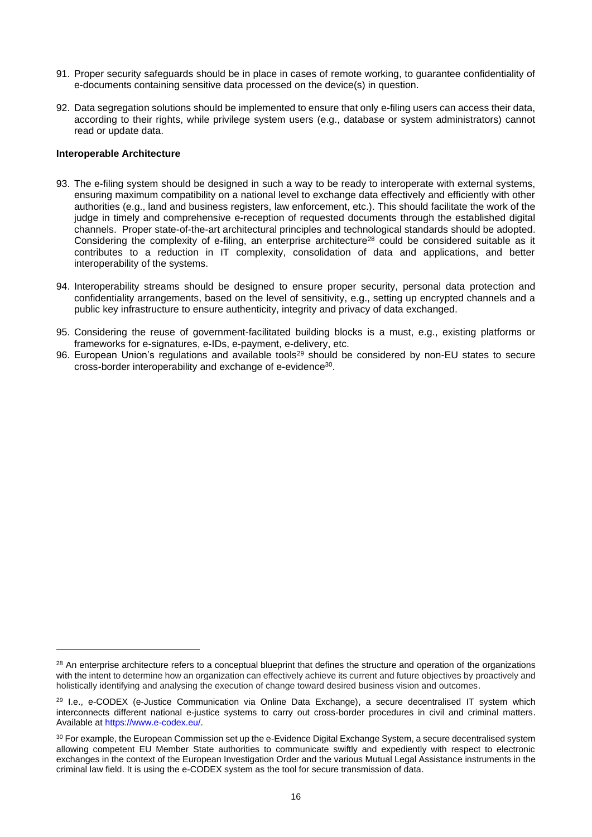- 91. Proper security safeguards should be in place in cases of remote working, to guarantee confidentiality of e-documents containing sensitive data processed on the device(s) in question.
- 92. Data segregation solutions should be implemented to ensure that only e-filing users can access their data, according to their rights, while privilege system users (e.g., database or system administrators) cannot read or update data.

#### <span id="page-15-0"></span>**Interoperable Architecture**

- 93. The e-filing system should be designed in such a way to be ready to interoperate with external systems, ensuring maximum compatibility on a national level to exchange data effectively and efficiently with other authorities (e.g., land and business registers, law enforcement, etc.). This should facilitate the work of the judge in timely and comprehensive e-reception of requested documents through the established digital channels. Proper state-of-the-art architectural principles and technological standards should be adopted. Considering the complexity of e-filing, an enterprise architecture<sup>28</sup> could be considered suitable as it contributes to a reduction in IT complexity, consolidation of data and applications, and better interoperability of the systems.
- 94. Interoperability streams should be designed to ensure proper security, personal data protection and confidentiality arrangements, based on the level of sensitivity, e.g., setting up encrypted channels and a public key infrastructure to ensure authenticity, integrity and privacy of data exchanged.
- 95. Considering the reuse of government-facilitated building blocks is a must, e.g., existing platforms or frameworks for e-signatures, e-IDs, e-payment, e-delivery, etc.
- <span id="page-15-1"></span>96. European Union's regulations and available tools<sup>29</sup> should be considered by non-EU states to secure cross-border interoperability and exchange of e-evidence<sup>30</sup>.

<sup>&</sup>lt;sup>28</sup> An enterprise architecture refers to a conceptual blueprint that defines the structure and operation of the organizations with the intent to determine how an organization can effectively achieve its current and future objectives by proactively and holistically identifying and analysing the execution of change toward desired business vision and outcomes.

<sup>&</sup>lt;sup>29</sup> I.e., e-CODEX (e-Justice Communication via Online Data Exchange), a secure decentralised IT system which interconnects different national e-justice systems to carry out cross-border procedures in civil and criminal matters. Available a[t https://www.e-codex.eu/.](https://www.e-codex.eu/)

<sup>&</sup>lt;sup>30</sup> For example, the European Commission set up the e-Evidence Digital Exchange System, a secure decentralised system allowing competent EU Member State authorities to communicate swiftly and expediently with respect to electronic exchanges in the context of the European Investigation Order and the various Mutual Legal Assistance instruments in the criminal law field. It is using the e-CODEX system as the tool for secure transmission of data.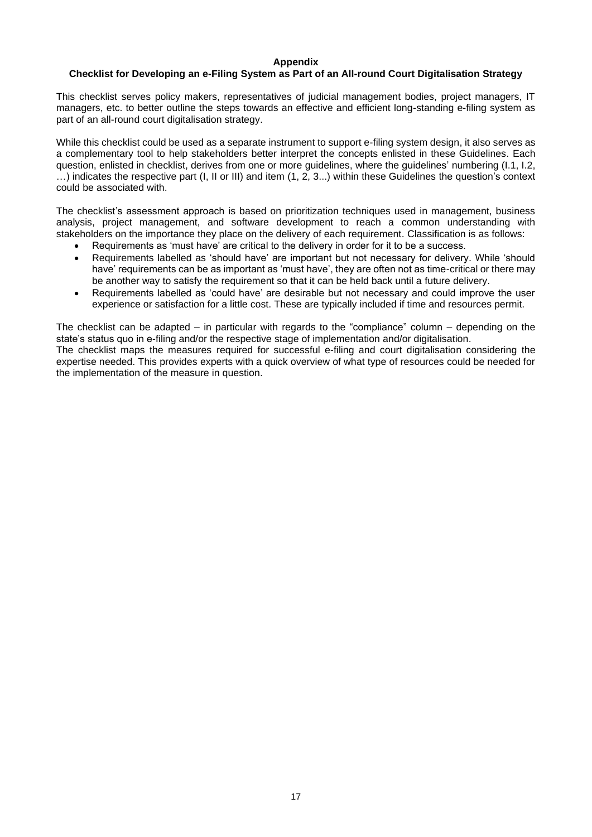#### **Appendix**

#### **Checklist for Developing an e-Filing System as Part of an All-round Court Digitalisation Strategy**

This checklist serves policy makers, representatives of judicial management bodies, project managers, IT managers, etc. to better outline the steps towards an effective and efficient long-standing e-filing system as part of an all-round court digitalisation strategy.

While this checklist could be used as a separate instrument to support e-filing system design, it also serves as a complementary tool to help stakeholders better interpret the concepts enlisted in these Guidelines. Each question, enlisted in checklist, derives from one or more guidelines, where the guidelines' numbering (I.1, I.2, …) indicates the respective part (I, II or III) and item (1, 2, 3...) within these Guidelines the question's context could be associated with.

The checklist's assessment approach is based on prioritization techniques used in management, business analysis, project management, and software development to reach a common understanding with stakeholders on the importance they place on the delivery of each requirement. Classification is as follows:

- Requirements as 'must have' are critical to the delivery in order for it to be a success.
- Requirements labelled as 'should have' are important but not necessary for delivery. While 'should have' requirements can be as important as 'must have', they are often not as time-critical or there may be another way to satisfy the requirement so that it can be held back until a future delivery.
- Requirements labelled as 'could have' are desirable but not necessary and could improve the user experience or satisfaction for a little cost. These are typically included if time and resources permit.

The checklist can be adapted – in particular with regards to the "compliance" column – depending on the state's status quo in e-filing and/or the respective stage of implementation and/or digitalisation. The checklist maps the measures required for successful e-filing and court digitalisation considering the expertise needed. This provides experts with a quick overview of what type of resources could be needed for the implementation of the measure in question.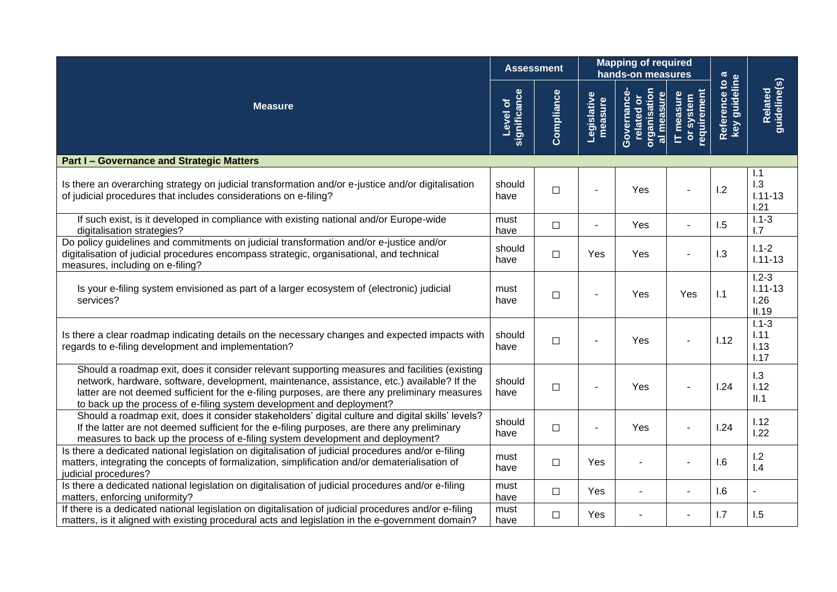|                                                                                                                                                                                                                                                                                                                                                                        |                                 | <b>Assessment</b> |                        |                                                        | <b>Mapping of required</b><br>hands-on measures |                                 |                                           |
|------------------------------------------------------------------------------------------------------------------------------------------------------------------------------------------------------------------------------------------------------------------------------------------------------------------------------------------------------------------------|---------------------------------|-------------------|------------------------|--------------------------------------------------------|-------------------------------------------------|---------------------------------|-------------------------------------------|
| <b>Measure</b>                                                                                                                                                                                                                                                                                                                                                         | significance<br><b>Level of</b> | Compliance        | Legislative<br>measure | organisation<br>al measure<br>Governance<br>related or | requirement<br>IT measure<br>or system          | Reference to a<br>key guideline | guideline(s)<br>Related                   |
| <b>Part I-Governance and Strategic Matters</b>                                                                                                                                                                                                                                                                                                                         |                                 |                   |                        |                                                        |                                                 |                                 |                                           |
| Is there an overarching strategy on judicial transformation and/or e-justice and/or digitalisation<br>of judicial procedures that includes considerations on e-filing?                                                                                                                                                                                                 | should<br>have                  | $\Box$            |                        | Yes                                                    |                                                 | 1.2                             | 1.1<br>1.3<br>$1.11 - 13$<br>1.21         |
| If such exist, is it developed in compliance with existing national and/or Europe-wide<br>digitalisation strategies?                                                                                                                                                                                                                                                   | must<br>have                    | $\Box$            |                        | Yes                                                    |                                                 | 1.5                             | $1.1 - 3$<br>1.7                          |
| Do policy guidelines and commitments on judicial transformation and/or e-justice and/or<br>digitalisation of judicial procedures encompass strategic, organisational, and technical<br>measures, including on e-filing?                                                                                                                                                | should<br>have                  | $\Box$            | Yes                    | Yes                                                    |                                                 | 1.3                             | $1.1 - 2$<br>$1.11 - 13$                  |
| Is your e-filing system envisioned as part of a larger ecosystem of (electronic) judicial<br>services?                                                                                                                                                                                                                                                                 | must<br>have                    | $\Box$            |                        | Yes                                                    | Yes                                             | 1.1                             | $1.2 - 3$<br>$1.11 - 13$<br>1.26<br>II.19 |
| Is there a clear roadmap indicating details on the necessary changes and expected impacts with<br>regards to e-filing development and implementation?                                                                                                                                                                                                                  | should<br>have                  | $\Box$            |                        | Yes                                                    |                                                 | 1.12                            | $1.1 - 3$<br>1.11<br>1.13<br>1.17         |
| Should a roadmap exit, does it consider relevant supporting measures and facilities (existing<br>network, hardware, software, development, maintenance, assistance, etc.) available? If the<br>latter are not deemed sufficient for the e-filing purposes, are there any preliminary measures<br>to back up the process of e-filing system development and deployment? | should<br>have                  | $\Box$            |                        | Yes                                                    |                                                 | 1.24                            | 1.3<br>1.12<br>II.1                       |
| Should a roadmap exit, does it consider stakeholders' digital culture and digital skills' levels?<br>If the latter are not deemed sufficient for the e-filing purposes, are there any preliminary<br>measures to back up the process of e-filing system development and deployment?                                                                                    | should<br>have                  | $\Box$            |                        | Yes                                                    |                                                 | 1.24                            | 1.12<br>1.22                              |
| Is there a dedicated national legislation on digitalisation of judicial procedures and/or e-filing<br>matters, integrating the concepts of formalization, simplification and/or dematerialisation of<br>judicial procedures?                                                                                                                                           | must<br>have                    | $\Box$            | Yes                    |                                                        |                                                 | 1.6                             | 1.2<br>1.4                                |
| Is there a dedicated national legislation on digitalisation of judicial procedures and/or e-filing<br>matters, enforcing uniformity?                                                                                                                                                                                                                                   | must<br>have                    | $\Box$            | Yes                    |                                                        |                                                 | 1.6                             |                                           |
| If there is a dedicated national legislation on digitalisation of judicial procedures and/or e-filing<br>matters, is it aligned with existing procedural acts and legislation in the e-government domain?                                                                                                                                                              | must<br>have                    | $\Box$            | Yes                    |                                                        |                                                 | 1.7                             | 1.5                                       |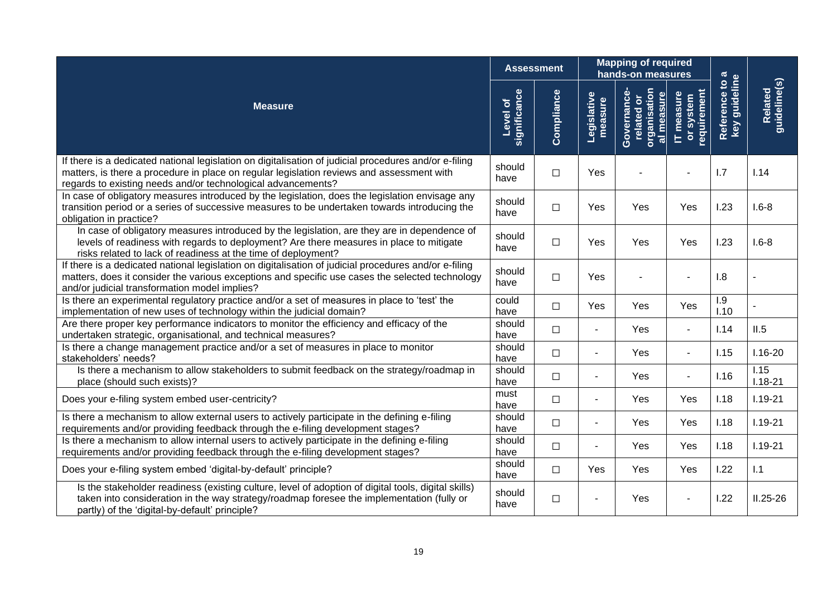|                                                                                                                                                                                                                                                                    |                          | <b>Assessment</b> |                        | <b>Mapping of required</b><br>hands-on measures                                   |                                        |                               |                         |
|--------------------------------------------------------------------------------------------------------------------------------------------------------------------------------------------------------------------------------------------------------------------|--------------------------|-------------------|------------------------|-----------------------------------------------------------------------------------|----------------------------------------|-------------------------------|-------------------------|
| <b>Measure</b>                                                                                                                                                                                                                                                     | significance<br>Level of | Compliance        | Legislative<br>measure | organisation<br>al measure<br>Governance<br>$\overline{\sigma}$<br><b>related</b> | requirement<br>IT measure<br>or system | key guideline<br>Reference to | Related<br>guideline(s) |
| If there is a dedicated national legislation on digitalisation of judicial procedures and/or e-filing<br>matters, is there a procedure in place on regular legislation reviews and assessment with<br>regards to existing needs and/or technological advancements? | should<br>have           | $\Box$            | Yes                    |                                                                                   |                                        | 1.7                           | 1.14                    |
| In case of obligatory measures introduced by the legislation, does the legislation envisage any<br>transition period or a series of successive measures to be undertaken towards introducing the<br>obligation in practice?                                        | should<br>have           | $\Box$            | Yes                    | Yes                                                                               | Yes                                    | 1.23                          | $1.6 - 8$               |
| In case of obligatory measures introduced by the legislation, are they are in dependence of<br>levels of readiness with regards to deployment? Are there measures in place to mitigate<br>risks related to lack of readiness at the time of deployment?            | should<br>have           | $\Box$            | Yes                    | Yes                                                                               | Yes                                    | 1.23                          | $1.6 - 8$               |
| If there is a dedicated national legislation on digitalisation of judicial procedures and/or e-filing<br>matters, does it consider the various exceptions and specific use cases the selected technology<br>and/or judicial transformation model implies?          | should<br>have           | $\Box$            | Yes                    |                                                                                   |                                        | 1.8                           |                         |
| Is there an experimental regulatory practice and/or a set of measures in place to 'test' the<br>implementation of new uses of technology within the judicial domain?                                                                                               | could<br>have            | $\Box$            | Yes                    | Yes                                                                               | Yes                                    | 1.9<br>1.10                   |                         |
| Are there proper key performance indicators to monitor the efficiency and efficacy of the<br>undertaken strategic, organisational, and technical measures?                                                                                                         | should<br>have           | $\Box$            |                        | Yes                                                                               | $\blacksquare$                         | 1.14                          | II.5                    |
| Is there a change management practice and/or a set of measures in place to monitor<br>stakeholders' needs?                                                                                                                                                         | should<br>have           | $\Box$            | $\sim$                 | Yes                                                                               | $\blacksquare$                         | 1.15                          | $1.16 - 20$             |
| Is there a mechanism to allow stakeholders to submit feedback on the strategy/roadmap in<br>place (should such exists)?                                                                                                                                            | should<br>have           | $\Box$            |                        | Yes                                                                               | $\sim$                                 | 1.16                          | 1.15<br>$1.18 - 21$     |
| Does your e-filing system embed user-centricity?                                                                                                                                                                                                                   | must<br>have             | $\Box$            | $\sim$                 | Yes                                                                               | Yes                                    | 1.18                          | $1.19 - 21$             |
| Is there a mechanism to allow external users to actively participate in the defining e-filing<br>requirements and/or providing feedback through the e-filing development stages?                                                                                   | should<br>have           | $\Box$            |                        | Yes                                                                               | Yes                                    | 1.18                          | $1.19 - 21$             |
| Is there a mechanism to allow internal users to actively participate in the defining e-filing<br>requirements and/or providing feedback through the e-filing development stages?                                                                                   | should<br>have           | $\Box$            |                        | Yes                                                                               | Yes                                    | 1.18                          | $1.19 - 21$             |
| Does your e-filing system embed 'digital-by-default' principle?                                                                                                                                                                                                    | should<br>have           | $\Box$            | Yes                    | Yes                                                                               | Yes                                    | 1.22                          | 1.1                     |
| Is the stakeholder readiness (existing culture, level of adoption of digital tools, digital skills)<br>taken into consideration in the way strategy/roadmap foresee the implementation (fully or<br>partly) of the 'digital-by-default' principle?                 | should<br>have           | $\Box$            |                        | Yes                                                                               |                                        | 1.22                          | $II.25 - 26$            |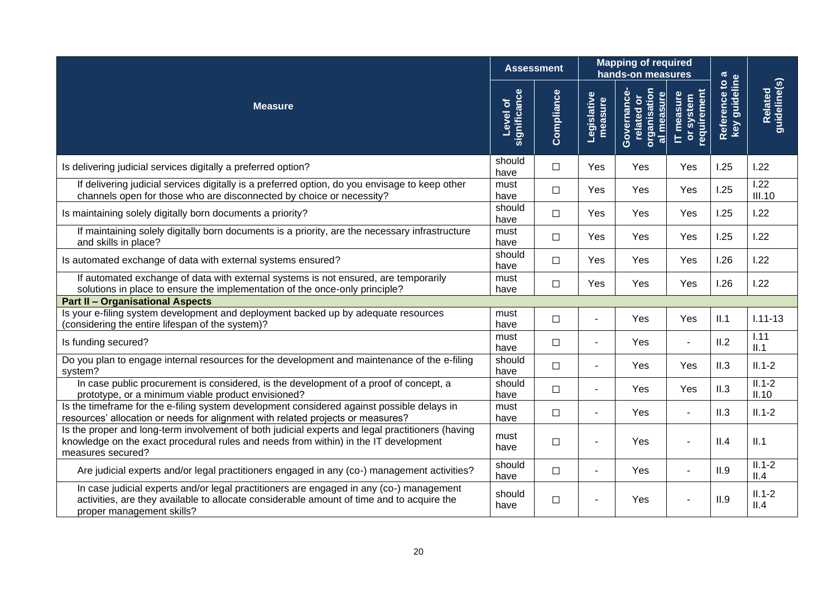|                                                                                                                                                                                                                   |                          | <b>Assessment</b> |                          | <b>Mapping of required</b><br>hands-on measures        |                                        |                                 |                                |
|-------------------------------------------------------------------------------------------------------------------------------------------------------------------------------------------------------------------|--------------------------|-------------------|--------------------------|--------------------------------------------------------|----------------------------------------|---------------------------------|--------------------------------|
| <b>Measure</b>                                                                                                                                                                                                    | significance<br>Level of | Compliance        | Legislative<br>measure   | organisation<br>al measure<br>Governance<br>related or | requirement<br>IT measure<br>or system | Reference to a<br>key guideline | guideline(s)<br><b>Related</b> |
| Is delivering judicial services digitally a preferred option?                                                                                                                                                     | should<br>have           | $\Box$            | Yes                      | Yes                                                    | Yes                                    | 1.25                            | 1.22                           |
| If delivering judicial services digitally is a preferred option, do you envisage to keep other<br>channels open for those who are disconnected by choice or necessity?                                            | must<br>have             | $\Box$            | Yes                      | Yes                                                    | Yes                                    | 1.25                            | 1.22<br><b>III.10</b>          |
| Is maintaining solely digitally born documents a priority?                                                                                                                                                        | should<br>have           | $\Box$            | Yes                      | Yes                                                    | Yes                                    | 1.25                            | 1.22                           |
| If maintaining solely digitally born documents is a priority, are the necessary infrastructure<br>and skills in place?                                                                                            | must<br>have             | $\Box$            | Yes                      | Yes                                                    | Yes                                    | 1.25                            | 1.22                           |
| Is automated exchange of data with external systems ensured?                                                                                                                                                      | should<br>have           | $\Box$            | Yes                      | Yes                                                    | Yes                                    | 1.26                            | 1.22                           |
| If automated exchange of data with external systems is not ensured, are temporarily<br>solutions in place to ensure the implementation of the once-only principle?                                                | must<br>have             | $\Box$            | Yes                      | Yes                                                    | Yes                                    | 1.26                            | 1.22                           |
| <b>Part II - Organisational Aspects</b>                                                                                                                                                                           |                          |                   |                          |                                                        |                                        |                                 |                                |
| Is your e-filing system development and deployment backed up by adequate resources<br>(considering the entire lifespan of the system)?                                                                            | must<br>have             | $\Box$            | $\sim$                   | Yes                                                    | Yes                                    | II.1                            | $1.11 - 13$                    |
| Is funding secured?                                                                                                                                                                                               | must<br>have             | $\Box$            | $\blacksquare$           | Yes                                                    |                                        | II.2                            | 1.11<br>II.1                   |
| Do you plan to engage internal resources for the development and maintenance of the e-filing<br>system?                                                                                                           | should<br>have           | $\Box$            | $\blacksquare$           | Yes                                                    | Yes                                    | II.3                            | $II.1-2$                       |
| In case public procurement is considered, is the development of a proof of concept, a<br>prototype, or a minimum viable product envisioned?                                                                       | should<br>have           | $\Box$            | $\blacksquare$           | Yes                                                    | Yes                                    | II.3                            | $II.1-2$<br>II.10              |
| Is the timeframe for the e-filing system development considered against possible delays in<br>resources' allocation or needs for alignment with related projects or measures?                                     | must<br>have             | $\Box$            | $\overline{\phantom{a}}$ | Yes                                                    |                                        | II.3                            | $II.1-2$                       |
| Is the proper and long-term involvement of both judicial experts and legal practitioners (having<br>knowledge on the exact procedural rules and needs from within) in the IT development<br>measures secured?     | must<br>have             | $\Box$            | $\blacksquare$           | Yes                                                    |                                        | II.4                            | II.1                           |
| Are judicial experts and/or legal practitioners engaged in any (co-) management activities?                                                                                                                       | should<br>have           | $\Box$            | $\sim$                   | Yes                                                    |                                        | II.9                            | $II.1-2$<br>II.4               |
| In case judicial experts and/or legal practitioners are engaged in any (co-) management<br>activities, are they available to allocate considerable amount of time and to acquire the<br>proper management skills? | should<br>have           | $\Box$            |                          | Yes                                                    |                                        | II.9                            | $II.1-2$<br>II.4               |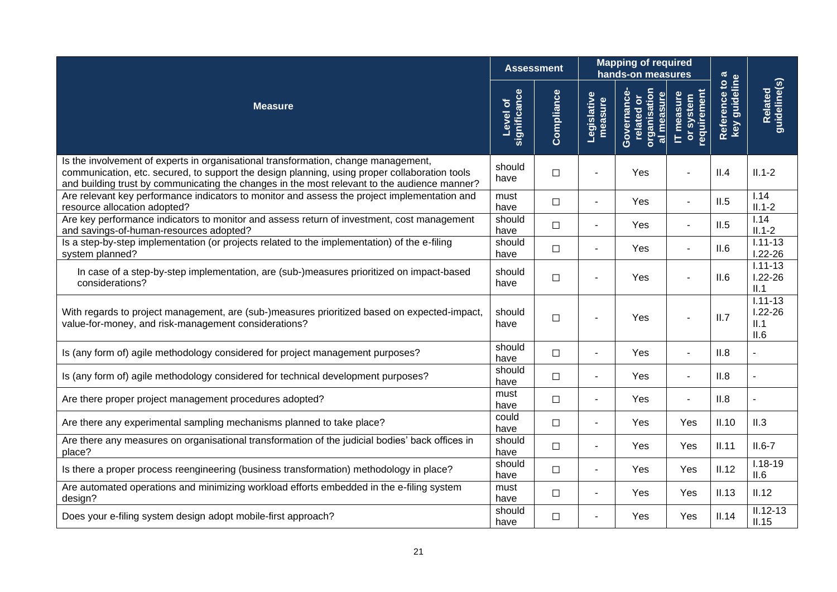|                                                                                                                                                                                                                                                                                     |                                 | <b>Assessment</b> |                        | <b>Mapping of required</b><br>hands-on measures               |                                       |                                              |                                            |
|-------------------------------------------------------------------------------------------------------------------------------------------------------------------------------------------------------------------------------------------------------------------------------------|---------------------------------|-------------------|------------------------|---------------------------------------------------------------|---------------------------------------|----------------------------------------------|--------------------------------------------|
| <b>Measure</b>                                                                                                                                                                                                                                                                      | <b>significance</b><br>Level of | Compliance        | Legislative<br>measure | <b>organisation</b><br>Governance<br>al measure<br>related or | equirement<br>IT measure<br>or system | Reference to a<br>key guideline<br>Reference | guideline(s)<br>Related                    |
| Is the involvement of experts in organisational transformation, change management,<br>communication, etc. secured, to support the design planning, using proper collaboration tools<br>and building trust by communicating the changes in the most relevant to the audience manner? | should<br>have                  | $\Box$            |                        | Yes                                                           |                                       | II.4                                         | $II.1-2$                                   |
| Are relevant key performance indicators to monitor and assess the project implementation and<br>resource allocation adopted?                                                                                                                                                        | must<br>have                    | $\Box$            |                        | Yes                                                           |                                       | II.5                                         | 1.14<br>$II.1-2$                           |
| Are key performance indicators to monitor and assess return of investment, cost management<br>and savings-of-human-resources adopted?                                                                                                                                               | should<br>have                  | $\Box$            | ÷                      | Yes                                                           |                                       | II.5                                         | $\overline{1.14}$<br>$II.1-2$              |
| Is a step-by-step implementation (or projects related to the implementation) of the e-filing<br>system planned?                                                                                                                                                                     | should<br>have                  | $\Box$            |                        | Yes                                                           |                                       | II.6                                         | $1.11 - 13$<br>$1.22 - 26$                 |
| In case of a step-by-step implementation, are (sub-)measures prioritized on impact-based<br>considerations?                                                                                                                                                                         | should<br>have                  | $\Box$            |                        | Yes                                                           |                                       | II.6                                         | $1.11 - 13$<br>$1.22 - 26$<br>II.1         |
| With regards to project management, are (sub-)measures prioritized based on expected-impact,<br>value-for-money, and risk-management considerations?                                                                                                                                | should<br>have                  | $\Box$            |                        | Yes                                                           |                                       | II.7                                         | $1.11 - 13$<br>$1.22 - 26$<br>II.1<br>II.6 |
| Is (any form of) agile methodology considered for project management purposes?                                                                                                                                                                                                      | should<br>have                  | $\Box$            |                        | Yes                                                           |                                       | II.8                                         |                                            |
| Is (any form of) agile methodology considered for technical development purposes?                                                                                                                                                                                                   | should<br>have                  | $\Box$            |                        | Yes                                                           |                                       | II.8                                         |                                            |
| Are there proper project management procedures adopted?                                                                                                                                                                                                                             | must<br>have                    | $\Box$            | $\overline{a}$         | Yes                                                           |                                       | II.8                                         |                                            |
| Are there any experimental sampling mechanisms planned to take place?                                                                                                                                                                                                               | could<br>have                   | $\Box$            |                        | Yes                                                           | Yes                                   | II.10                                        | II.3                                       |
| Are there any measures on organisational transformation of the judicial bodies' back offices in<br>place?                                                                                                                                                                           | should<br>have                  | $\Box$            |                        | Yes                                                           | Yes                                   | II.11                                        | $II.6-7$                                   |
| Is there a proper process reengineering (business transformation) methodology in place?                                                                                                                                                                                             | should<br>have                  | $\Box$            |                        | Yes                                                           | Yes                                   | II.12                                        | $1.18 - 19$<br>II.6                        |
| Are automated operations and minimizing workload efforts embedded in the e-filing system<br>design?                                                                                                                                                                                 | must<br>have                    | $\Box$            |                        | Yes                                                           | Yes                                   | II.13                                        | II.12                                      |
| Does your e-filing system design adopt mobile-first approach?                                                                                                                                                                                                                       | should<br>have                  | $\Box$            |                        | Yes                                                           | Yes                                   | II.14                                        | $II.12 - 13$<br>II.15                      |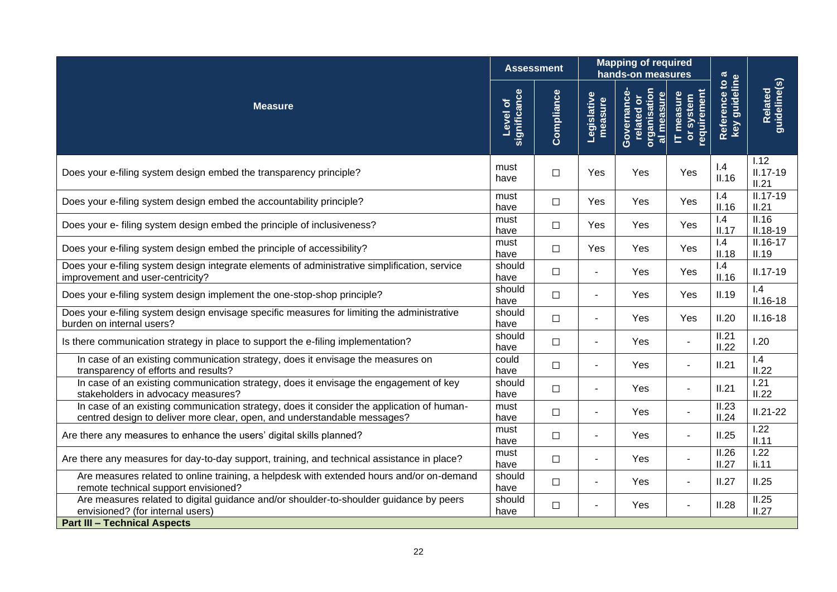|                                                                                                                                                                       |                          | <b>Assessment</b> |                        | <b>Mapping of required</b><br>hands-on measures               |                                                              |                                 |                                          |
|-----------------------------------------------------------------------------------------------------------------------------------------------------------------------|--------------------------|-------------------|------------------------|---------------------------------------------------------------|--------------------------------------------------------------|---------------------------------|------------------------------------------|
| <b>Measure</b>                                                                                                                                                        | significance<br>Level of | Compliance        | Legislative<br>measure | <u>organisation</u><br>Governance<br>al measure<br>related or | requirement<br>$\underline{\mathsf{T}}$ measure<br>or system | Reference to a<br>key guideline | guideline(s)<br><b>Related</b>           |
| Does your e-filing system design embed the transparency principle?                                                                                                    | must<br>have             | $\Box$            | Yes                    | Yes                                                           | Yes                                                          | 1.4<br>II.16                    | $\overline{1.12}$<br>$II.17-19$<br>II.21 |
| Does your e-filing system design embed the accountability principle?                                                                                                  | must<br>have             | $\Box$            | Yes                    | Yes                                                           | Yes                                                          | 1.4<br>II.16                    | $II.17-19$<br>II.21                      |
| Does your e- filing system design embed the principle of inclusiveness?                                                                                               | must<br>have             | $\Box$            | Yes                    | Yes                                                           | Yes                                                          | 1.4<br>II.17                    | II.16<br>$II.18 - 19$                    |
| Does your e-filing system design embed the principle of accessibility?                                                                                                | must<br>have             | $\Box$            | Yes                    | Yes                                                           | Yes                                                          | 1.4<br>II.18                    | $II.16 - 17$<br>II.19                    |
| Does your e-filing system design integrate elements of administrative simplification, service<br>improvement and user-centricity?                                     | should<br>have           | $\Box$            |                        | Yes                                                           | Yes                                                          | 1.4<br>II.16                    | $II.17-19$                               |
| Does your e-filing system design implement the one-stop-shop principle?                                                                                               | should<br>have           | $\Box$            | $\blacksquare$         | Yes                                                           | Yes                                                          | II.19                           | 1.4<br>$II.16-18$                        |
| Does your e-filing system design envisage specific measures for limiting the administrative<br>burden on internal users?                                              | should<br>have           | □                 | $\blacksquare$         | Yes                                                           | Yes                                                          | II.20                           | $II.16 - 18$                             |
| Is there communication strategy in place to support the e-filing implementation?                                                                                      | should<br>have           | $\Box$            | $\blacksquare$         | Yes                                                           | ä,                                                           | II.21<br>II.22                  | 1.20                                     |
| In case of an existing communication strategy, does it envisage the measures on<br>transparency of efforts and results?                                               | could<br>have            | □                 |                        | Yes                                                           | ÷.                                                           | II.21                           | 1.4<br>II.22                             |
| In case of an existing communication strategy, does it envisage the engagement of key<br>stakeholders in advocacy measures?                                           | should<br>have           | $\Box$            | $\blacksquare$         | Yes                                                           | ÷.                                                           | II.21                           | 1.21<br>II.22                            |
| In case of an existing communication strategy, does it consider the application of human-<br>centred design to deliver more clear, open, and understandable messages? | must<br>have             | $\Box$            | $\blacksquare$         | Yes                                                           | $\overline{a}$                                               | II.23<br>II.24                  | $II.21 - 22$                             |
| Are there any measures to enhance the users' digital skills planned?                                                                                                  | must<br>have             | $\Box$            |                        | Yes                                                           |                                                              | II.25                           | 1.22<br>II.11                            |
| Are there any measures for day-to-day support, training, and technical assistance in place?                                                                           | must<br>have             | $\Box$            |                        | Yes                                                           |                                                              | II.26<br>II.27                  | $\overline{1.22}$<br>II.11               |
| Are measures related to online training, a helpdesk with extended hours and/or on-demand<br>remote technical support envisioned?                                      | should<br>have           | □                 |                        | Yes                                                           | $\blacksquare$                                               | II.27                           | II.25                                    |
| Are measures related to digital guidance and/or shoulder-to-shoulder guidance by peers<br>envisioned? (for internal users)                                            | should<br>have           | $\Box$            |                        | Yes                                                           | ۰                                                            | II.28                           | II.25<br>II.27                           |
| <b>Part III - Technical Aspects</b>                                                                                                                                   |                          |                   |                        |                                                               |                                                              |                                 |                                          |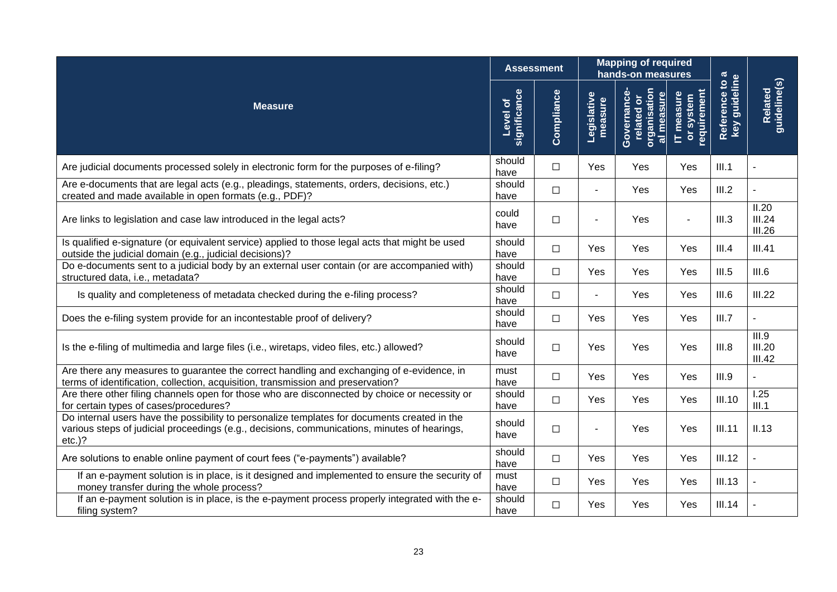|                                                                                                                                                                                                           |                          | <b>Assessment</b> |                        | <b>Mapping of required</b><br>hands-on measures                             |                                        |                               |                           |
|-----------------------------------------------------------------------------------------------------------------------------------------------------------------------------------------------------------|--------------------------|-------------------|------------------------|-----------------------------------------------------------------------------|----------------------------------------|-------------------------------|---------------------------|
| <b>Measure</b>                                                                                                                                                                                            | significance<br>Level of | Compliance        | Legislative<br>measure | organisation<br>al measure<br>Governance<br>$\overline{\bullet}$<br>related | requirement<br>IT measure<br>or system | key guideline<br>Reference to | Related<br>guideline(s)   |
| Are judicial documents processed solely in electronic form for the purposes of e-filing?                                                                                                                  | should<br>have           | $\Box$            | Yes                    | Yes                                                                         | Yes                                    | III.1                         |                           |
| Are e-documents that are legal acts (e.g., pleadings, statements, orders, decisions, etc.)<br>created and made available in open formats (e.g., PDF)?                                                     | should<br>have           | $\Box$            |                        | Yes                                                                         | Yes                                    | III.2                         |                           |
| Are links to legislation and case law introduced in the legal acts?                                                                                                                                       | could<br>have            | $\Box$            |                        | Yes                                                                         |                                        | III.3                         | II.20<br>III.24<br>III.26 |
| Is qualified e-signature (or equivalent service) applied to those legal acts that might be used<br>outside the judicial domain (e.g., judicial decisions)?                                                | should<br>have           | $\Box$            | <b>Yes</b>             | <b>Yes</b>                                                                  | Yes                                    | III.4                         | III.41                    |
| Do e-documents sent to a judicial body by an external user contain (or are accompanied with)<br>structured data, i.e., metadata?                                                                          | should<br>have           | $\Box$            | Yes                    | Yes                                                                         | Yes                                    | III.5                         | III.6                     |
| Is quality and completeness of metadata checked during the e-filing process?                                                                                                                              | should<br>have           | $\Box$            |                        | Yes                                                                         | Yes                                    | III.6                         | III.22                    |
| Does the e-filing system provide for an incontestable proof of delivery?                                                                                                                                  | should<br>have           | $\Box$            | Yes                    | Yes                                                                         | Yes                                    | III.7                         |                           |
| Is the e-filing of multimedia and large files (i.e., wiretaps, video files, etc.) allowed?                                                                                                                | should<br>have           | $\Box$            | Yes                    | Yes                                                                         | Yes                                    | III.8                         | III.9<br>III.20<br>III.42 |
| Are there any measures to guarantee the correct handling and exchanging of e-evidence, in<br>terms of identification, collection, acquisition, transmission and preservation?                             | must<br>have             | $\Box$            | Yes                    | Yes                                                                         | Yes                                    | III.9                         | L.                        |
| Are there other filing channels open for those who are disconnected by choice or necessity or<br>for certain types of cases/procedures?                                                                   | should<br>have           | $\Box$            | Yes                    | Yes                                                                         | Yes                                    | III.10                        | 1.25<br>III.1             |
| Do internal users have the possibility to personalize templates for documents created in the<br>various steps of judicial proceedings (e.g., decisions, communications, minutes of hearings,<br>$etc.$ )? | should<br>have           | $\Box$            |                        | Yes                                                                         | Yes                                    | <b>III.11</b>                 | II.13                     |
| Are solutions to enable online payment of court fees ("e-payments") available?                                                                                                                            | should<br>have           | $\Box$            | Yes                    | Yes                                                                         | Yes                                    | III.12                        |                           |
| If an e-payment solution is in place, is it designed and implemented to ensure the security of<br>money transfer during the whole process?                                                                | must<br>have             | $\Box$            | Yes                    | Yes                                                                         | Yes                                    | III.13                        |                           |
| If an e-payment solution is in place, is the e-payment process properly integrated with the e-<br>filing system?                                                                                          | should<br>have           | $\Box$            | Yes                    | Yes                                                                         | Yes                                    | III.14                        |                           |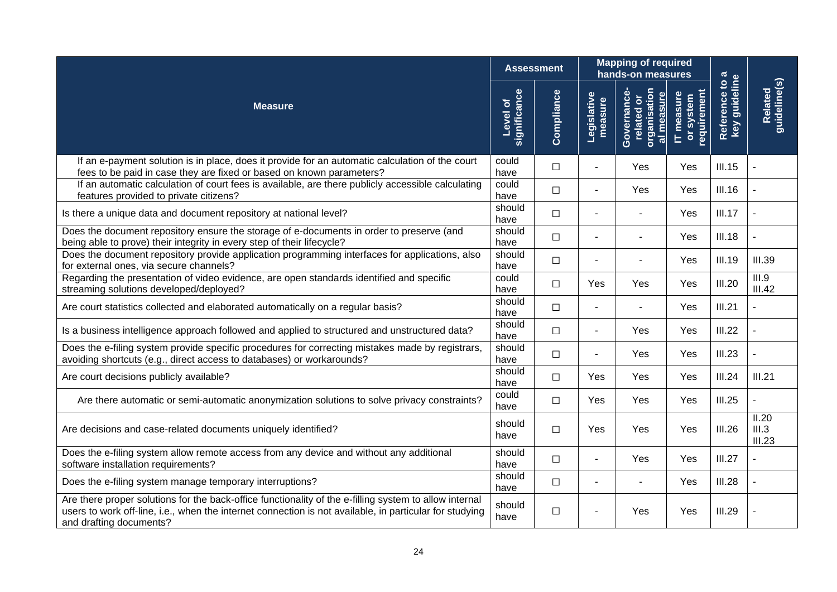|                                                                                                                                                                                                                                              |                          | <b>Assessment</b> |                        | <b>Mapping of required</b><br>hands-on measures        |                                       |                                              |                          |
|----------------------------------------------------------------------------------------------------------------------------------------------------------------------------------------------------------------------------------------------|--------------------------|-------------------|------------------------|--------------------------------------------------------|---------------------------------------|----------------------------------------------|--------------------------|
| <b>Measure</b>                                                                                                                                                                                                                               | significance<br>Level of | Compliance        | Legislative<br>measure | organisation<br>Governance<br>al measure<br>related or | equirement<br>IT measure<br>or system | Reference to a<br>key guideline<br>Reference | guideline(s)<br>Related  |
| If an e-payment solution is in place, does it provide for an automatic calculation of the court<br>fees to be paid in case they are fixed or based on known parameters?                                                                      | could<br>have            | $\Box$            |                        | Yes                                                    | Yes                                   | III.15                                       |                          |
| If an automatic calculation of court fees is available, are there publicly accessible calculating<br>features provided to private citizens?                                                                                                  | could<br>have            | $\Box$            |                        | <b>Yes</b>                                             | Yes                                   | <b>III.16</b>                                |                          |
| Is there a unique data and document repository at national level?                                                                                                                                                                            | should<br>have           | $\Box$            |                        |                                                        | Yes                                   | III.17                                       |                          |
| Does the document repository ensure the storage of e-documents in order to preserve (and<br>being able to prove) their integrity in every step of their lifecycle?                                                                           | should<br>have           | $\Box$            |                        |                                                        | Yes                                   | <b>III.18</b>                                |                          |
| Does the document repository provide application programming interfaces for applications, also<br>for external ones, via secure channels?                                                                                                    | should<br>have           | $\Box$            |                        |                                                        | Yes                                   | <b>III.19</b>                                | <b>III.39</b>            |
| Regarding the presentation of video evidence, are open standards identified and specific<br>streaming solutions developed/deployed?                                                                                                          | could<br>have            | $\Box$            | Yes                    | Yes                                                    | Yes                                   | <b>III.20</b>                                | III.9<br>III.42          |
| Are court statistics collected and elaborated automatically on a regular basis?                                                                                                                                                              | should<br>have           | $\Box$            |                        |                                                        | Yes                                   | III.21                                       |                          |
| Is a business intelligence approach followed and applied to structured and unstructured data?                                                                                                                                                | should<br>have           | $\Box$            | $\blacksquare$         | Yes                                                    | Yes                                   | III.22                                       |                          |
| Does the e-filing system provide specific procedures for correcting mistakes made by registrars,<br>avoiding shortcuts (e.g., direct access to databases) or workarounds?                                                                    | should<br>have           | $\Box$            |                        | Yes                                                    | Yes                                   | III.23                                       |                          |
| Are court decisions publicly available?                                                                                                                                                                                                      | should<br>have           | $\Box$            | Yes                    | <b>Yes</b>                                             | Yes                                   | III.24                                       | III.21                   |
| Are there automatic or semi-automatic anonymization solutions to solve privacy constraints?                                                                                                                                                  | could<br>have            | $\Box$            | Yes                    | Yes                                                    | Yes                                   | III.25                                       |                          |
| Are decisions and case-related documents uniquely identified?                                                                                                                                                                                | should<br>have           | $\Box$            | Yes                    | Yes                                                    | Yes                                   | III.26                                       | II.20<br>III.3<br>III.23 |
| Does the e-filing system allow remote access from any device and without any additional<br>software installation requirements?                                                                                                               | should<br>have           | $\Box$            |                        | Yes                                                    | Yes                                   | III.27                                       |                          |
| Does the e-filing system manage temporary interruptions?                                                                                                                                                                                     | should<br>have           | $\Box$            |                        |                                                        | Yes.                                  | III.28                                       |                          |
| Are there proper solutions for the back-office functionality of the e-filling system to allow internal<br>users to work off-line, i.e., when the internet connection is not available, in particular for studying<br>and drafting documents? | should<br>have           | $\Box$            |                        | Yes                                                    | Yes                                   | <b>III.29</b>                                |                          |